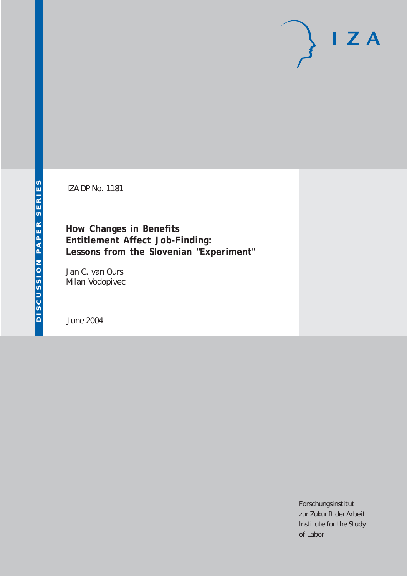# $I Z A$

IZA DP No. 1181

**How Changes in Benefits Entitlement Affect Job-Finding: Lessons from the Slovenian "Experiment"**

Jan C. van Ours Milan Vodopivec

June 2004

Forschungsinstitut zur Zukunft der Arbeit Institute for the Study of Labor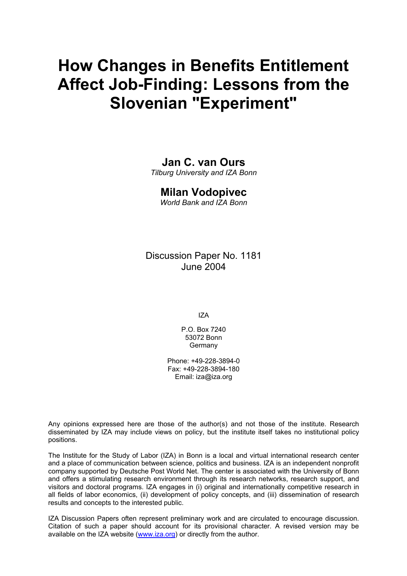# **How Changes in Benefits Entitlement Affect Job-Finding: Lessons from the Slovenian "Experiment"**

# **Jan C. van Ours**

*Tilburg University and IZA Bonn* 

### **Milan Vodopivec**

*World Bank and IZA Bonn* 

Discussion Paper No. 1181 June 2004

IZA

P.O. Box 7240 53072 Bonn Germany

Phone: +49-228-3894-0 Fax: +49-228-3894-180 Email: [iza@iza.org](mailto:iza@iza.org)

Any opinions expressed here are those of the author(s) and not those of the institute. Research disseminated by IZA may include views on policy, but the institute itself takes no institutional policy positions.

The Institute for the Study of Labor (IZA) in Bonn is a local and virtual international research center and a place of communication between science, politics and business. IZA is an independent nonprofit company supported by Deutsche Post World Net. The center is associated with the University of Bonn and offers a stimulating research environment through its research networks, research support, and visitors and doctoral programs. IZA engages in (i) original and internationally competitive research in all fields of labor economics, (ii) development of policy concepts, and (iii) dissemination of research results and concepts to the interested public.

IZA Discussion Papers often represent preliminary work and are circulated to encourage discussion. Citation of such a paper should account for its provisional character. A revised version may be available on the IZA website ([www.iza.org](http://www.iza.org/)) or directly from the author.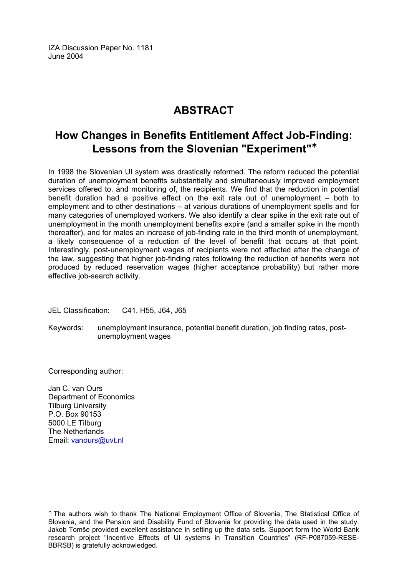IZA Discussion Paper No. 1181 June 2004

# **ABSTRACT**

# **How Changes in Benefits Entitlement Affect Job-Finding: Lessons from the Slovenian "Experiment"**[∗](#page-2-0)

In 1998 the Slovenian UI system was drastically reformed. The reform reduced the potential duration of unemployment benefits substantially and simultaneously improved employment services offered to, and monitoring of, the recipients. We find that the reduction in potential benefit duration had a positive effect on the exit rate out of unemployment – both to employment and to other destinations – at various durations of unemployment spells and for many categories of unemployed workers. We also identify a clear spike in the exit rate out of unemployment in the month unemployment benefits expire (and a smaller spike in the month thereafter), and for males an increase of job-finding rate in the third month of unemployment, a likely consequence of a reduction of the level of benefit that occurs at that point. Interestingly, post-unemployment wages of recipients were not affected after the change of the law, suggesting that higher job-finding rates following the reduction of benefits were not produced by reduced reservation wages (higher acceptance probability) but rather more effective job-search activity.

JEL Classification: C41, H55, J64, J65

Keywords: unemployment insurance, potential benefit duration, job finding rates, postunemployment wages

Corresponding author:

Jan C. van Ours Department of Economics Tilburg University P.O. Box 90153 5000 LE Tilburg The Netherlands Email: vanours@uvt.nl

<span id="page-2-0"></span><sup>∗</sup> The authors wish to thank The National Employment Office of Slovenia, The Statistical Office of Slovenia, and the Pension and Disability Fund of Slovenia for providing the data used in the study. Jakob Tomše provided excellent assistance in setting up the data sets. Support form the World Bank research project "Incentive Effects of UI systems in Transition Countries" (RF-P087059-RESE-BBRSB) is gratefully acknowledged.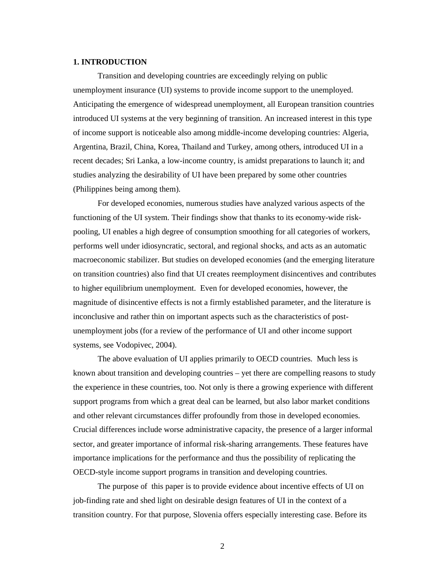### **1. INTRODUCTION**

Transition and developing countries are exceedingly relying on public unemployment insurance (UI) systems to provide income support to the unemployed. Anticipating the emergence of widespread unemployment, all European transition countries introduced UI systems at the very beginning of transition. An increased interest in this type of income support is noticeable also among middle-income developing countries: Algeria, Argentina, Brazil, China, Korea, Thailand and Turkey, among others, introduced UI in a recent decades; Sri Lanka, a low-income country, is amidst preparations to launch it; and studies analyzing the desirability of UI have been prepared by some other countries (Philippines being among them).

For developed economies, numerous studies have analyzed various aspects of the functioning of the UI system. Their findings show that thanks to its economy-wide riskpooling, UI enables a high degree of consumption smoothing for all categories of workers, performs well under idiosyncratic, sectoral, and regional shocks, and acts as an automatic macroeconomic stabilizer. But studies on developed economies (and the emerging literature on transition countries) also find that UI creates reemployment disincentives and contributes to higher equilibrium unemployment. Even for developed economies, however, the magnitude of disincentive effects is not a firmly established parameter, and the literature is inconclusive and rather thin on important aspects such as the characteristics of postunemployment jobs (for a review of the performance of UI and other income support systems, see Vodopivec, 2004).

The above evaluation of UI applies primarily to OECD countries. Much less is known about transition and developing countries – yet there are compelling reasons to study the experience in these countries, too. Not only is there a growing experience with different support programs from which a great deal can be learned, but also labor market conditions and other relevant circumstances differ profoundly from those in developed economies. Crucial differences include worse administrative capacity, the presence of a larger informal sector, and greater importance of informal risk-sharing arrangements. These features have importance implications for the performance and thus the possibility of replicating the OECD-style income support programs in transition and developing countries.

The purpose of this paper is to provide evidence about incentive effects of UI on job-finding rate and shed light on desirable design features of UI in the context of a transition country. For that purpose, Slovenia offers especially interesting case. Before its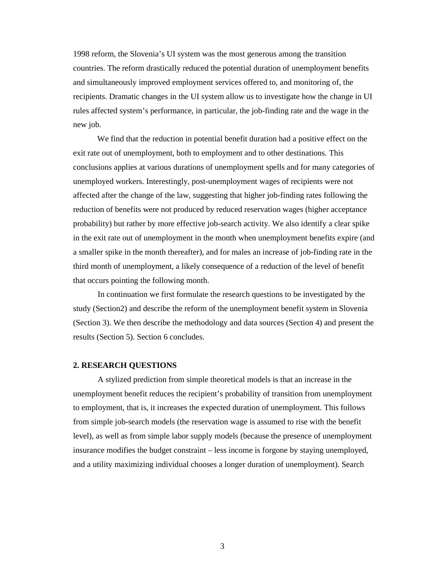1998 reform, the Slovenia's UI system was the most generous among the transition countries. The reform drastically reduced the potential duration of unemployment benefits and simultaneously improved employment services offered to, and monitoring of, the recipients. Dramatic changes in the UI system allow us to investigate how the change in UI rules affected system's performance, in particular, the job-finding rate and the wage in the new job.

We find that the reduction in potential benefit duration had a positive effect on the exit rate out of unemployment, both to employment and to other destinations. This conclusions applies at various durations of unemployment spells and for many categories of unemployed workers. Interestingly, post-unemployment wages of recipients were not affected after the change of the law, suggesting that higher job-finding rates following the reduction of benefits were not produced by reduced reservation wages (higher acceptance probability) but rather by more effective job-search activity. We also identify a clear spike in the exit rate out of unemployment in the month when unemployment benefits expire (and a smaller spike in the month thereafter), and for males an increase of job-finding rate in the third month of unemployment, a likely consequence of a reduction of the level of benefit that occurs pointing the following month.

In continuation we first formulate the research questions to be investigated by the study (Section2) and describe the reform of the unemployment benefit system in Slovenia (Section 3). We then describe the methodology and data sources (Section 4) and present the results (Section 5). Section 6 concludes.

### **2. RESEARCH QUESTIONS**

A stylized prediction from simple theoretical models is that an increase in the unemployment benefit reduces the recipient's probability of transition from unemployment to employment, that is, it increases the expected duration of unemployment. This follows from simple job-search models (the reservation wage is assumed to rise with the benefit level), as well as from simple labor supply models (because the presence of unemployment insurance modifies the budget constraint – less income is forgone by staying unemployed, and a utility maximizing individual chooses a longer duration of unemployment). Search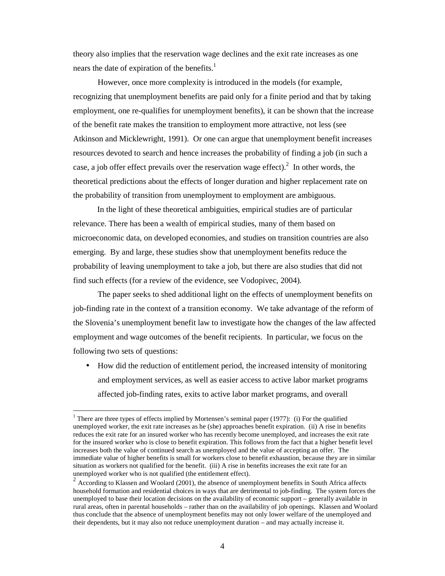theory also implies that the reservation wage declines and the exit rate increases as one nears the date of expiration of the benefits.<sup>1</sup>

However, once more complexity is introduced in the models (for example, recognizing that unemployment benefits are paid only for a finite period and that by taking employment, one re-qualifies for unemployment benefits), it can be shown that the increase of the benefit rate makes the transition to employment more attractive, not less (see Atkinson and Micklewright, 1991). Or one can argue that unemployment benefit increases resources devoted to search and hence increases the probability of finding a job (in such a case, a job offer effect prevails over the reservation wage effect).<sup>2</sup> In other words, the theoretical predictions about the effects of longer duration and higher replacement rate on the probability of transition from unemployment to employment are ambiguous.

In the light of these theoretical ambiguities, empirical studies are of particular relevance. There has been a wealth of empirical studies, many of them based on microeconomic data, on developed economies, and studies on transition countries are also emerging. By and large, these studies show that unemployment benefits reduce the probability of leaving unemployment to take a job, but there are also studies that did not find such effects (for a review of the evidence, see Vodopivec, 2004).

The paper seeks to shed additional light on the effects of unemployment benefits on job-finding rate in the context of a transition economy. We take advantage of the reform of the Slovenia's unemployment benefit law to investigate how the changes of the law affected employment and wage outcomes of the benefit recipients. In particular, we focus on the following two sets of questions:

• How did the reduction of entitlement period, the increased intensity of monitoring and employment services, as well as easier access to active labor market programs affected job-finding rates, exits to active labor market programs, and overall

<sup>&</sup>lt;sup>1</sup> There are three types of effects implied by Mortensen's seminal paper (1977): (i) For the qualified unemployed worker, the exit rate increases as he (she) approaches benefit expiration. (ii) A rise in benefits reduces the exit rate for an insured worker who has recently become unemployed, and increases the exit rate for the insured worker who is close to benefit expiration. This follows from the fact that a higher benefit level increases both the value of continued search as unemployed and the value of accepting an offer. The immediate value of higher benefits is small for workers close to benefit exhaustion, because they are in similar situation as workers not qualified for the benefit. (iii) A rise in benefits increases the exit rate for an

unemployed worker who is not qualified (the entitlement effect).<br><sup>2</sup> According to Klassen and Woolard (2001), the absence of unemployment benefits in South Africa affects household formation and residential choices in ways that are detrimental to job-finding. The system forces the unemployed to base their location decisions on the availability of economic support – generally available in rural areas, often in parental households – rather than on the availability of job openings. Klassen and Woolard thus conclude that the absence of unemployment benefits may not only lower welfare of the unemployed and their dependents, but it may also not reduce unemployment duration – and may actually increase it.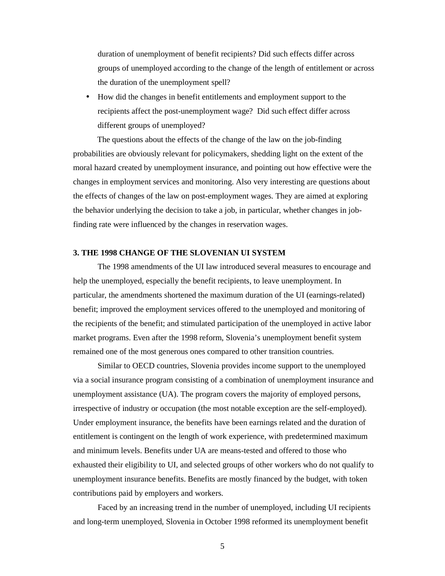duration of unemployment of benefit recipients? Did such effects differ across groups of unemployed according to the change of the length of entitlement or across the duration of the unemployment spell?

• How did the changes in benefit entitlements and employment support to the recipients affect the post-unemployment wage? Did such effect differ across different groups of unemployed?

The questions about the effects of the change of the law on the job-finding probabilities are obviously relevant for policymakers, shedding light on the extent of the moral hazard created by unemployment insurance, and pointing out how effective were the changes in employment services and monitoring. Also very interesting are questions about the effects of changes of the law on post-employment wages. They are aimed at exploring the behavior underlying the decision to take a job, in particular, whether changes in jobfinding rate were influenced by the changes in reservation wages.

### **3. THE 1998 CHANGE OF THE SLOVENIAN UI SYSTEM**

The 1998 amendments of the UI law introduced several measures to encourage and help the unemployed, especially the benefit recipients, to leave unemployment. In particular, the amendments shortened the maximum duration of the UI (earnings-related) benefit; improved the employment services offered to the unemployed and monitoring of the recipients of the benefit; and stimulated participation of the unemployed in active labor market programs. Even after the 1998 reform, Slovenia's unemployment benefit system remained one of the most generous ones compared to other transition countries.

Similar to OECD countries, Slovenia provides income support to the unemployed via a social insurance program consisting of a combination of unemployment insurance and unemployment assistance (UA). The program covers the majority of employed persons, irrespective of industry or occupation (the most notable exception are the self-employed). Under employment insurance, the benefits have been earnings related and the duration of entitlement is contingent on the length of work experience, with predetermined maximum and minimum levels. Benefits under UA are means-tested and offered to those who exhausted their eligibility to UI, and selected groups of other workers who do not qualify to unemployment insurance benefits. Benefits are mostly financed by the budget, with token contributions paid by employers and workers.

Faced by an increasing trend in the number of unemployed, including UI recipients and long-term unemployed, Slovenia in October 1998 reformed its unemployment benefit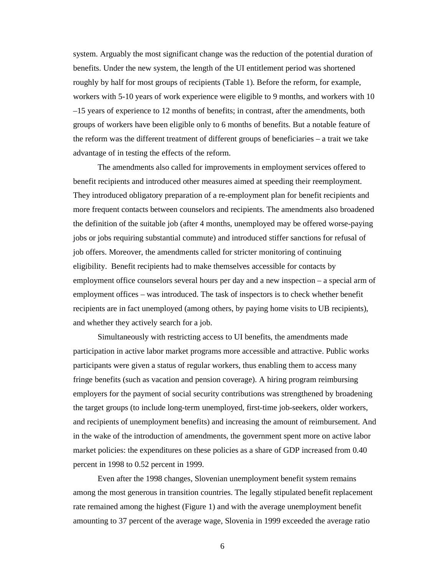system. Arguably the most significant change was the reduction of the potential duration of benefits. Under the new system, the length of the UI entitlement period was shortened roughly by half for most groups of recipients (Table 1). Before the reform, for example, workers with 5-10 years of work experience were eligible to 9 months, and workers with 10 –15 years of experience to 12 months of benefits; in contrast, after the amendments, both groups of workers have been eligible only to 6 months of benefits. But a notable feature of the reform was the different treatment of different groups of beneficiaries – a trait we take advantage of in testing the effects of the reform.

The amendments also called for improvements in employment services offered to benefit recipients and introduced other measures aimed at speeding their reemployment. They introduced obligatory preparation of a re-employment plan for benefit recipients and more frequent contacts between counselors and recipients. The amendments also broadened the definition of the suitable job (after 4 months, unemployed may be offered worse-paying jobs or jobs requiring substantial commute) and introduced stiffer sanctions for refusal of job offers. Moreover, the amendments called for stricter monitoring of continuing eligibility. Benefit recipients had to make themselves accessible for contacts by employment office counselors several hours per day and a new inspection – a special arm of employment offices – was introduced. The task of inspectors is to check whether benefit recipients are in fact unemployed (among others, by paying home visits to UB recipients), and whether they actively search for a job.

Simultaneously with restricting access to UI benefits, the amendments made participation in active labor market programs more accessible and attractive. Public works participants were given a status of regular workers, thus enabling them to access many fringe benefits (such as vacation and pension coverage). A hiring program reimbursing employers for the payment of social security contributions was strengthened by broadening the target groups (to include long-term unemployed, first-time job-seekers, older workers, and recipients of unemployment benefits) and increasing the amount of reimbursement. And in the wake of the introduction of amendments, the government spent more on active labor market policies: the expenditures on these policies as a share of GDP increased from 0.40 percent in 1998 to 0.52 percent in 1999.

Even after the 1998 changes, Slovenian unemployment benefit system remains among the most generous in transition countries. The legally stipulated benefit replacement rate remained among the highest (Figure 1) and with the average unemployment benefit amounting to 37 percent of the average wage, Slovenia in 1999 exceeded the average ratio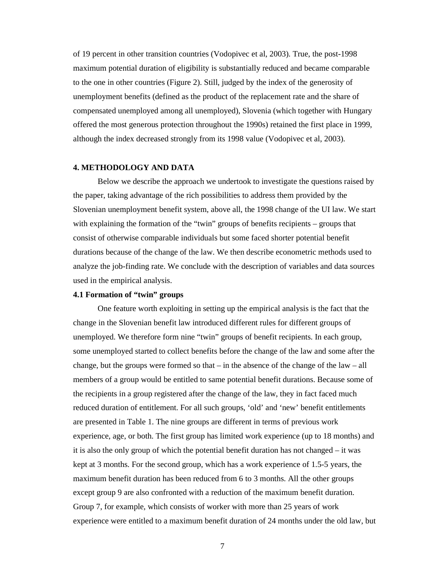of 19 percent in other transition countries (Vodopivec et al, 2003). True, the post-1998 maximum potential duration of eligibility is substantially reduced and became comparable to the one in other countries (Figure 2). Still, judged by the index of the generosity of unemployment benefits (defined as the product of the replacement rate and the share of compensated unemployed among all unemployed), Slovenia (which together with Hungary offered the most generous protection throughout the 1990s) retained the first place in 1999, although the index decreased strongly from its 1998 value (Vodopivec et al, 2003).

### **4. METHODOLOGY AND DATA**

Below we describe the approach we undertook to investigate the questions raised by the paper, taking advantage of the rich possibilities to address them provided by the Slovenian unemployment benefit system, above all, the 1998 change of the UI law. We start with explaining the formation of the "twin" groups of benefits recipients – groups that consist of otherwise comparable individuals but some faced shorter potential benefit durations because of the change of the law. We then describe econometric methods used to analyze the job-finding rate. We conclude with the description of variables and data sources used in the empirical analysis.

### **4.1 Formation of "twin" groups**

One feature worth exploiting in setting up the empirical analysis is the fact that the change in the Slovenian benefit law introduced different rules for different groups of unemployed. We therefore form nine "twin" groups of benefit recipients. In each group, some unemployed started to collect benefits before the change of the law and some after the change, but the groups were formed so that  $-$  in the absence of the change of the law  $-$  all members of a group would be entitled to same potential benefit durations. Because some of the recipients in a group registered after the change of the law, they in fact faced much reduced duration of entitlement. For all such groups, 'old' and 'new' benefit entitlements are presented in Table 1. The nine groups are different in terms of previous work experience, age, or both. The first group has limited work experience (up to 18 months) and it is also the only group of which the potential benefit duration has not changed – it was kept at 3 months. For the second group, which has a work experience of 1.5-5 years, the maximum benefit duration has been reduced from 6 to 3 months. All the other groups except group 9 are also confronted with a reduction of the maximum benefit duration. Group 7, for example, which consists of worker with more than 25 years of work experience were entitled to a maximum benefit duration of 24 months under the old law, but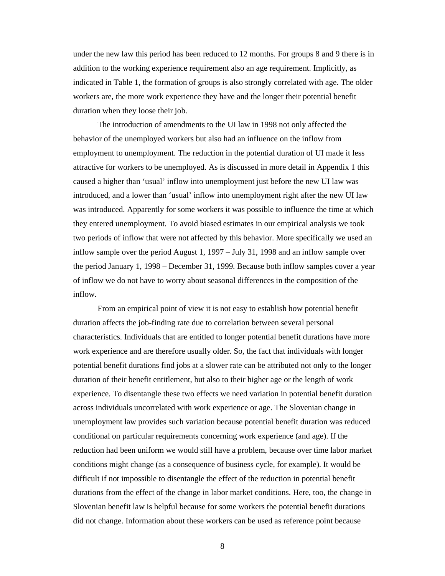under the new law this period has been reduced to 12 months. For groups 8 and 9 there is in addition to the working experience requirement also an age requirement. Implicitly, as indicated in Table 1, the formation of groups is also strongly correlated with age. The older workers are, the more work experience they have and the longer their potential benefit duration when they loose their job.

The introduction of amendments to the UI law in 1998 not only affected the behavior of the unemployed workers but also had an influence on the inflow from employment to unemployment. The reduction in the potential duration of UI made it less attractive for workers to be unemployed. As is discussed in more detail in Appendix 1 this caused a higher than 'usual' inflow into unemployment just before the new UI law was introduced, and a lower than 'usual' inflow into unemployment right after the new UI law was introduced. Apparently for some workers it was possible to influence the time at which they entered unemployment. To avoid biased estimates in our empirical analysis we took two periods of inflow that were not affected by this behavior. More specifically we used an inflow sample over the period August 1, 1997 – July 31, 1998 and an inflow sample over the period January 1, 1998 – December 31, 1999. Because both inflow samples cover a year of inflow we do not have to worry about seasonal differences in the composition of the inflow.

From an empirical point of view it is not easy to establish how potential benefit duration affects the job-finding rate due to correlation between several personal characteristics. Individuals that are entitled to longer potential benefit durations have more work experience and are therefore usually older. So, the fact that individuals with longer potential benefit durations find jobs at a slower rate can be attributed not only to the longer duration of their benefit entitlement, but also to their higher age or the length of work experience. To disentangle these two effects we need variation in potential benefit duration across individuals uncorrelated with work experience or age. The Slovenian change in unemployment law provides such variation because potential benefit duration was reduced conditional on particular requirements concerning work experience (and age). If the reduction had been uniform we would still have a problem, because over time labor market conditions might change (as a consequence of business cycle, for example). It would be difficult if not impossible to disentangle the effect of the reduction in potential benefit durations from the effect of the change in labor market conditions. Here, too, the change in Slovenian benefit law is helpful because for some workers the potential benefit durations did not change. Information about these workers can be used as reference point because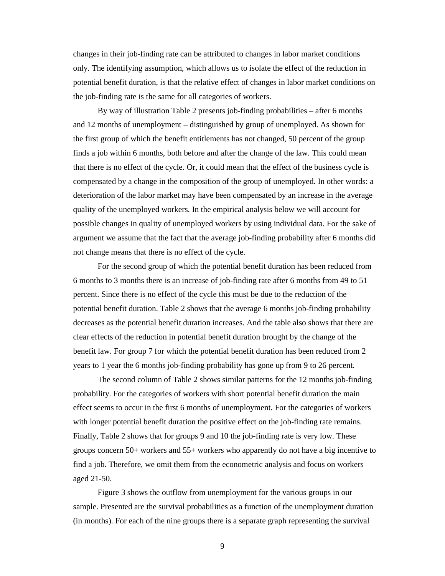changes in their job-finding rate can be attributed to changes in labor market conditions only. The identifying assumption, which allows us to isolate the effect of the reduction in potential benefit duration, is that the relative effect of changes in labor market conditions on the job-finding rate is the same for all categories of workers.

By way of illustration Table 2 presents job-finding probabilities – after 6 months and 12 months of unemployment – distinguished by group of unemployed. As shown for the first group of which the benefit entitlements has not changed, 50 percent of the group finds a job within 6 months, both before and after the change of the law. This could mean that there is no effect of the cycle. Or, it could mean that the effect of the business cycle is compensated by a change in the composition of the group of unemployed. In other words: a deterioration of the labor market may have been compensated by an increase in the average quality of the unemployed workers. In the empirical analysis below we will account for possible changes in quality of unemployed workers by using individual data. For the sake of argument we assume that the fact that the average job-finding probability after 6 months did not change means that there is no effect of the cycle.

For the second group of which the potential benefit duration has been reduced from 6 months to 3 months there is an increase of job-finding rate after 6 months from 49 to 51 percent. Since there is no effect of the cycle this must be due to the reduction of the potential benefit duration. Table 2 shows that the average 6 months job-finding probability decreases as the potential benefit duration increases. And the table also shows that there are clear effects of the reduction in potential benefit duration brought by the change of the benefit law. For group 7 for which the potential benefit duration has been reduced from 2 years to 1 year the 6 months job-finding probability has gone up from 9 to 26 percent.

The second column of Table 2 shows similar patterns for the 12 months job-finding probability. For the categories of workers with short potential benefit duration the main effect seems to occur in the first 6 months of unemployment. For the categories of workers with longer potential benefit duration the positive effect on the job-finding rate remains. Finally, Table 2 shows that for groups 9 and 10 the job-finding rate is very low. These groups concern 50+ workers and 55+ workers who apparently do not have a big incentive to find a job. Therefore, we omit them from the econometric analysis and focus on workers aged 21-50.

Figure 3 shows the outflow from unemployment for the various groups in our sample. Presented are the survival probabilities as a function of the unemployment duration (in months). For each of the nine groups there is a separate graph representing the survival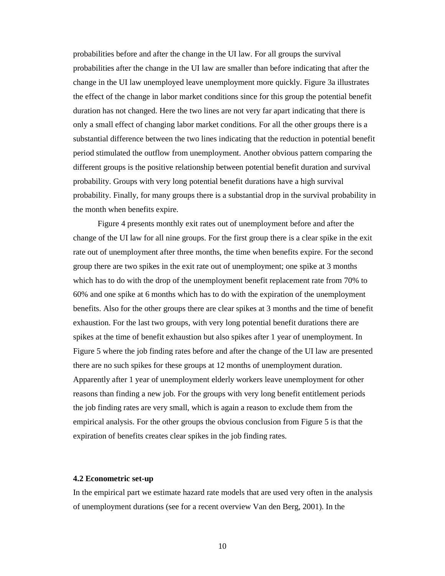probabilities before and after the change in the UI law. For all groups the survival probabilities after the change in the UI law are smaller than before indicating that after the change in the UI law unemployed leave unemployment more quickly. Figure 3a illustrates the effect of the change in labor market conditions since for this group the potential benefit duration has not changed. Here the two lines are not very far apart indicating that there is only a small effect of changing labor market conditions. For all the other groups there is a substantial difference between the two lines indicating that the reduction in potential benefit period stimulated the outflow from unemployment. Another obvious pattern comparing the different groups is the positive relationship between potential benefit duration and survival probability. Groups with very long potential benefit durations have a high survival probability. Finally, for many groups there is a substantial drop in the survival probability in the month when benefits expire.

Figure 4 presents monthly exit rates out of unemployment before and after the change of the UI law for all nine groups. For the first group there is a clear spike in the exit rate out of unemployment after three months, the time when benefits expire. For the second group there are two spikes in the exit rate out of unemployment; one spike at 3 months which has to do with the drop of the unemployment benefit replacement rate from 70% to 60% and one spike at 6 months which has to do with the expiration of the unemployment benefits. Also for the other groups there are clear spikes at 3 months and the time of benefit exhaustion. For the last two groups, with very long potential benefit durations there are spikes at the time of benefit exhaustion but also spikes after 1 year of unemployment. In Figure 5 where the job finding rates before and after the change of the UI law are presented there are no such spikes for these groups at 12 months of unemployment duration. Apparently after 1 year of unemployment elderly workers leave unemployment for other reasons than finding a new job. For the groups with very long benefit entitlement periods the job finding rates are very small, which is again a reason to exclude them from the empirical analysis. For the other groups the obvious conclusion from Figure 5 is that the expiration of benefits creates clear spikes in the job finding rates.

### **4.2 Econometric set-up**

In the empirical part we estimate hazard rate models that are used very often in the analysis of unemployment durations (see for a recent overview Van den Berg, 2001). In the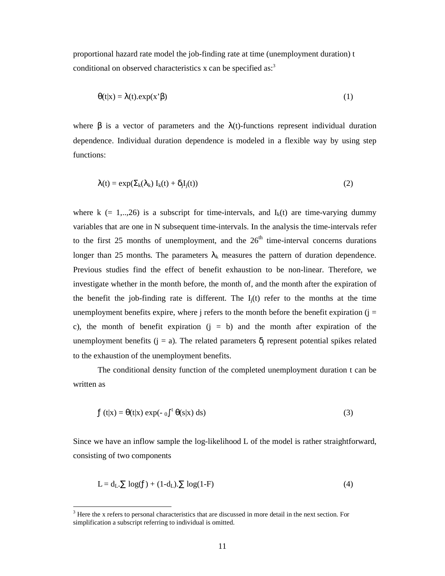proportional hazard rate model the job-finding rate at time (unemployment duration) t conditional on observed characteristics x can be specified as:<sup>3</sup>

$$
\theta(t|x) = \lambda(t) . exp(x^{2} \beta)
$$
 (1)

where  $\beta$  is a vector of parameters and the  $\lambda(t)$ -functions represent individual duration dependence. Individual duration dependence is modeled in a flexible way by using step functions:

$$
\lambda(t) = \exp(\Sigma_k(\lambda_k) I_k(t) + \delta_j I_j(t))
$$
\n(2)

where k (= 1,..,26) is a subscript for time-intervals, and  $I_k(t)$  are time-varying dummy variables that are one in N subsequent time-intervals. In the analysis the time-intervals refer to the first 25 months of unemployment, and the  $26<sup>th</sup>$  time-interval concerns durations longer than 25 months. The parameters  $\lambda_k$  measures the pattern of duration dependence. Previous studies find the effect of benefit exhaustion to be non-linear. Therefore, we investigate whether in the month before, the month of, and the month after the expiration of the benefit the job-finding rate is different. The  $I_i(t)$  refer to the months at the time unemployment benefits expire, where  $\mathbf{j}$  refers to the month before the benefit expiration ( $\mathbf{j} =$ c), the month of benefit expiration  $(j = b)$  and the month after expiration of the unemployment benefits (j = a). The related parameters  $\delta_i$  represent potential spikes related to the exhaustion of the unemployment benefits.

The conditional density function of the completed unemployment duration t can be written as

$$
f(t|x) = \theta(t|x) \exp(-\int_0^t \theta(s|x) \, ds) \tag{3}
$$

Since we have an inflow sample the log-likelihood L of the model is rather straightforward, consisting of two components

$$
L = d_L \cdot \sum \log(f) + (1 - d_L) \cdot \sum \log(1 - F) \tag{4}
$$

<sup>&</sup>lt;sup>3</sup> Here the x refers to personal characteristics that are discussed in more detail in the next section. For simplification a subscript referring to individual is omitted.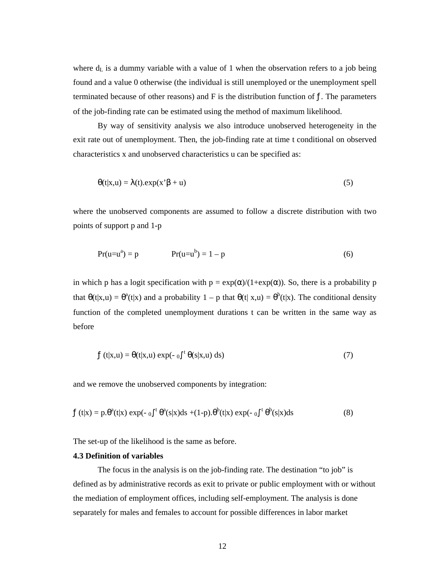where  $d<sub>L</sub>$  is a dummy variable with a value of 1 when the observation refers to a job being found and a value 0 otherwise (the individual is still unemployed or the unemployment spell terminated because of other reasons) and  $F$  is the distribution function of  $f$ . The parameters of the job-finding rate can be estimated using the method of maximum likelihood.

By way of sensitivity analysis we also introduce unobserved heterogeneity in the exit rate out of unemployment. Then, the job-finding rate at time t conditional on observed characteristics x and unobserved characteristics u can be specified as:

$$
\theta(t|x,u) = \lambda(t) . \exp(x^2 \beta + u) \tag{5}
$$

where the unobserved components are assumed to follow a discrete distribution with two points of support p and 1-p

$$
Pr(u=u^{a}) = p \t\t Pr(u=u^{b}) = 1 - p \t\t(6)
$$

in which p has a logit specification with  $p = \exp(\alpha)/(1+\exp(\alpha))$ . So, there is a probability p that  $\theta(t|x,u) = \theta^a(t|x)$  and a probability  $1 - p$  that  $\theta(t|x,u) = \theta^b(t|x)$ . The conditional density function of the completed unemployment durations t can be written in the same way as before

$$
f(t|x, u) = \theta(t|x, u) \exp(-\int_0^t \theta(s|x, u) \, ds)
$$
\n(7)

and we remove the unobserved components by integration:

$$
f(t|x) = p.\theta^{a}(t|x) \exp(-\int_{0}^{t} \theta^{a}(s|x)ds + (1-p).\theta^{b}(t|x) \exp(-\int_{0}^{t} \theta^{b}(s|x)ds \tag{8}
$$

The set-up of the likelihood is the same as before.

### **4.3 Definition of variables**

The focus in the analysis is on the job-finding rate. The destination "to job" is defined as by administrative records as exit to private or public employment with or without the mediation of employment offices, including self-employment. The analysis is done separately for males and females to account for possible differences in labor market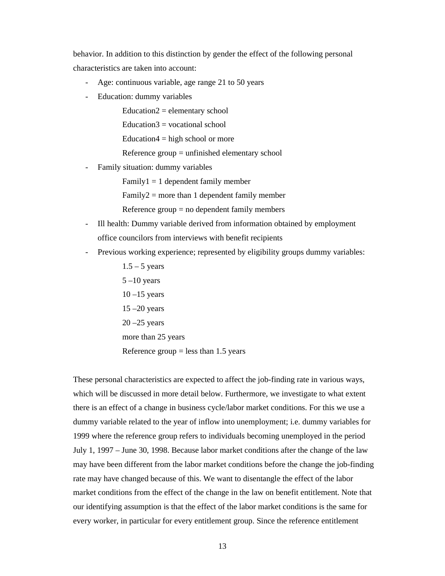behavior. In addition to this distinction by gender the effect of the following personal characteristics are taken into account:

- Age: continuous variable, age range 21 to 50 years
- Education: dummy variables

 $Education2 = elementary school$ 

 $Education3 = vocational school$ 

Education $4 =$ high school or more

Reference group = unfinished elementary school

Family situation: dummy variables

 $Family1 = 1 dependent family member$ 

 $Family2 = more than 1 dependent family member$ 

Reference group = no dependent family members

- Ill health: Dummy variable derived from information obtained by employment office councilors from interviews with benefit recipients
- Previous working experience; represented by eligibility groups dummy variables:
	- $1.5 5$  years  $5 -10$  years  $10 - 15$  years  $15 - 20$  years  $20 - 25$  years more than 25 years Reference group  $=$  less than 1.5 years

These personal characteristics are expected to affect the job-finding rate in various ways, which will be discussed in more detail below. Furthermore, we investigate to what extent there is an effect of a change in business cycle/labor market conditions. For this we use a dummy variable related to the year of inflow into unemployment; i.e. dummy variables for 1999 where the reference group refers to individuals becoming unemployed in the period July 1, 1997 – June 30, 1998. Because labor market conditions after the change of the law may have been different from the labor market conditions before the change the job-finding rate may have changed because of this. We want to disentangle the effect of the labor market conditions from the effect of the change in the law on benefit entitlement. Note that our identifying assumption is that the effect of the labor market conditions is the same for every worker, in particular for every entitlement group. Since the reference entitlement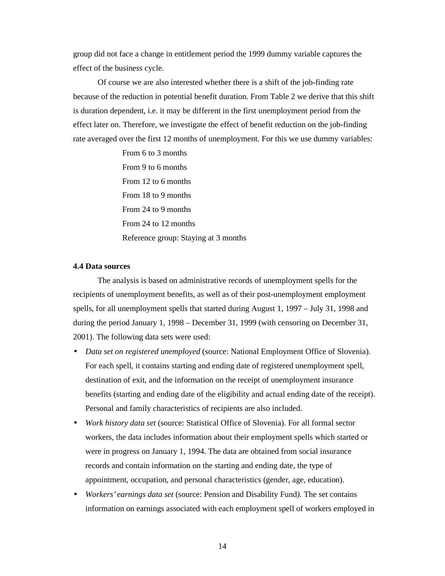group did not face a change in entitlement period the 1999 dummy variable captures the effect of the business cycle.

Of course we are also interested whether there is a shift of the job-finding rate because of the reduction in potential benefit duration. From Table 2 we derive that this shift is duration dependent, i.e. it may be different in the first unemployment period from the effect later on. Therefore, we investigate the effect of benefit reduction on the job-finding rate averaged over the first 12 months of unemployment. For this we use dummy variables:

> From 6 to 3 months From 9 to 6 months From 12 to 6 months From 18 to 9 months From 24 to 9 months From 24 to 12 months Reference group: Staying at 3 months

### **4.4 Data sources**

The analysis is based on administrative records of unemployment spells for the recipients of unemployment benefits, as well as of their post-unemployment employment spells, for all unemployment spells that started during August 1, 1997 – July 31, 1998 and during the period January 1, 1998 – December 31, 1999 (with censoring on December 31, 2001). The following data sets were used:

- *Data set on registered unemployed* (source: National Employment Office of Slovenia). For each spell, it contains starting and ending date of registered unemployment spell, destination of exit, and the information on the receipt of unemployment insurance benefits (starting and ending date of the eligibility and actual ending date of the receipt). Personal and family characteristics of recipients are also included.
- *Work history data set* (source: Statistical Office of Slovenia). For all formal sector workers, the data includes information about their employment spells which started or were in progress on January 1, 1994. The data are obtained from social insurance records and contain information on the starting and ending date, the type of appointment, occupation, and personal characteristics (gender, age, education).
- *Workers' earnings data set* (source: Pension and Disability Fund*).* The set contains information on earnings associated with each employment spell of workers employed in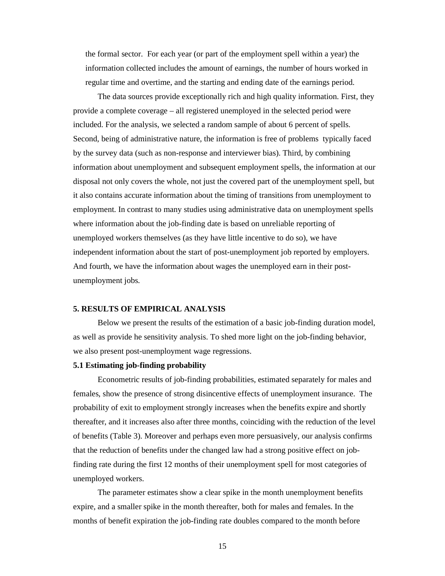the formal sector. For each year (or part of the employment spell within a year) the information collected includes the amount of earnings, the number of hours worked in regular time and overtime, and the starting and ending date of the earnings period.

The data sources provide exceptionally rich and high quality information. First, they provide a complete coverage – all registered unemployed in the selected period were included. For the analysis, we selected a random sample of about 6 percent of spells. Second, being of administrative nature, the information is free of problems typically faced by the survey data (such as non-response and interviewer bias). Third, by combining information about unemployment and subsequent employment spells, the information at our disposal not only covers the whole, not just the covered part of the unemployment spell, but it also contains accurate information about the timing of transitions from unemployment to employment. In contrast to many studies using administrative data on unemployment spells where information about the job-finding date is based on unreliable reporting of unemployed workers themselves (as they have little incentive to do so), we have independent information about the start of post-unemployment job reported by employers. And fourth, we have the information about wages the unemployed earn in their postunemployment jobs.

### **5. RESULTS OF EMPIRICAL ANALYSIS**

Below we present the results of the estimation of a basic job-finding duration model, as well as provide he sensitivity analysis. To shed more light on the job-finding behavior, we also present post-unemployment wage regressions.

### **5.1 Estimating job-finding probability**

Econometric results of job-finding probabilities, estimated separately for males and females, show the presence of strong disincentive effects of unemployment insurance. The probability of exit to employment strongly increases when the benefits expire and shortly thereafter, and it increases also after three months, coinciding with the reduction of the level of benefits (Table 3). Moreover and perhaps even more persuasively, our analysis confirms that the reduction of benefits under the changed law had a strong positive effect on jobfinding rate during the first 12 months of their unemployment spell for most categories of unemployed workers.

The parameter estimates show a clear spike in the month unemployment benefits expire, and a smaller spike in the month thereafter, both for males and females. In the months of benefit expiration the job-finding rate doubles compared to the month before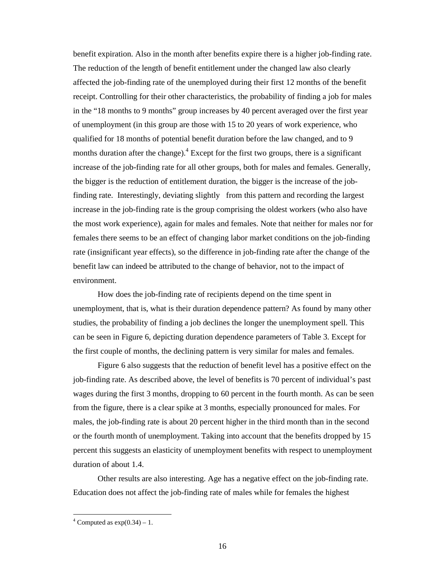benefit expiration. Also in the month after benefits expire there is a higher job-finding rate. The reduction of the length of benefit entitlement under the changed law also clearly affected the job-finding rate of the unemployed during their first 12 months of the benefit receipt. Controlling for their other characteristics, the probability of finding a job for males in the "18 months to 9 months" group increases by 40 percent averaged over the first year of unemployment (in this group are those with 15 to 20 years of work experience, who qualified for 18 months of potential benefit duration before the law changed, and to 9 months duration after the change).<sup>4</sup> Except for the first two groups, there is a significant increase of the job-finding rate for all other groups, both for males and females. Generally, the bigger is the reduction of entitlement duration, the bigger is the increase of the jobfinding rate. Interestingly, deviating slightly from this pattern and recording the largest increase in the job-finding rate is the group comprising the oldest workers (who also have the most work experience), again for males and females. Note that neither for males nor for females there seems to be an effect of changing labor market conditions on the job-finding rate (insignificant year effects), so the difference in job-finding rate after the change of the benefit law can indeed be attributed to the change of behavior, not to the impact of environment.

How does the job-finding rate of recipients depend on the time spent in unemployment, that is, what is their duration dependence pattern? As found by many other studies, the probability of finding a job declines the longer the unemployment spell. This can be seen in Figure 6, depicting duration dependence parameters of Table 3. Except for the first couple of months, the declining pattern is very similar for males and females.

Figure 6 also suggests that the reduction of benefit level has a positive effect on the job-finding rate. As described above, the level of benefits is 70 percent of individual's past wages during the first 3 months, dropping to 60 percent in the fourth month. As can be seen from the figure, there is a clear spike at 3 months, especially pronounced for males. For males, the job-finding rate is about 20 percent higher in the third month than in the second or the fourth month of unemployment. Taking into account that the benefits dropped by 15 percent this suggests an elasticity of unemployment benefits with respect to unemployment duration of about 1.4.

Other results are also interesting. Age has a negative effect on the job-finding rate. Education does not affect the job-finding rate of males while for females the highest

<sup>&</sup>lt;sup>4</sup> Computed as  $exp(0.34) - 1$ .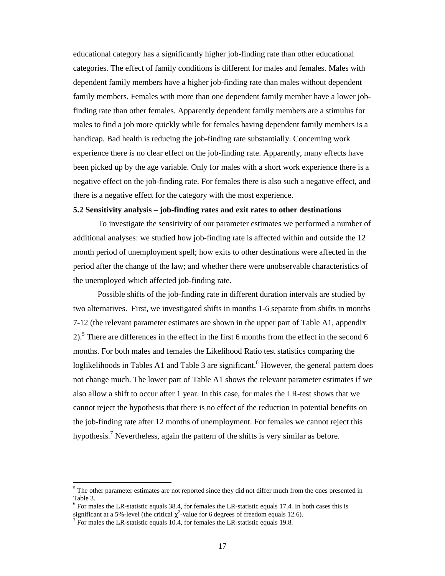educational category has a significantly higher job-finding rate than other educational categories. The effect of family conditions is different for males and females. Males with dependent family members have a higher job-finding rate than males without dependent family members. Females with more than one dependent family member have a lower jobfinding rate than other females. Apparently dependent family members are a stimulus for males to find a job more quickly while for females having dependent family members is a handicap. Bad health is reducing the job-finding rate substantially. Concerning work experience there is no clear effect on the job-finding rate. Apparently, many effects have been picked up by the age variable. Only for males with a short work experience there is a negative effect on the job-finding rate. For females there is also such a negative effect, and there is a negative effect for the category with the most experience.

### **5.2 Sensitivity analysis – job-finding rates and exit rates to other destinations**

To investigate the sensitivity of our parameter estimates we performed a number of additional analyses: we studied how job-finding rate is affected within and outside the 12 month period of unemployment spell; how exits to other destinations were affected in the period after the change of the law; and whether there were unobservable characteristics of the unemployed which affected job-finding rate.

Possible shifts of the job-finding rate in different duration intervals are studied by two alternatives. First, we investigated shifts in months 1-6 separate from shifts in months 7-12 (the relevant parameter estimates are shown in the upper part of Table A1, appendix 2).<sup>5</sup> There are differences in the effect in the first 6 months from the effect in the second 6 months. For both males and females the Likelihood Ratio test statistics comparing the loglikelihoods in Tables A1 and Table 3 are significant. <sup>6</sup> However, the general pattern does not change much. The lower part of Table A1 shows the relevant parameter estimates if we also allow a shift to occur after 1 year. In this case, for males the LR-test shows that we cannot reject the hypothesis that there is no effect of the reduction in potential benefits on the job-finding rate after 12 months of unemployment. For females we cannot reject this hypothesis.<sup>7</sup> Nevertheless, again the pattern of the shifts is very similar as before.

 $<sup>5</sup>$  The other parameter estimates are not reported since they did not differ much from the ones presented in</sup> Table 3.

 $6$  For males the LR-statistic equals 38.4, for females the LR-statistic equals 17.4. In both cases this is significant at a 5%-level (the critical  $\chi^2$ -value for 6 degrees of freedom equals 12.6).

 $<sup>7</sup>$  For males the LR-statistic equals 10.4, for females the LR-statistic equals 19.8.</sup>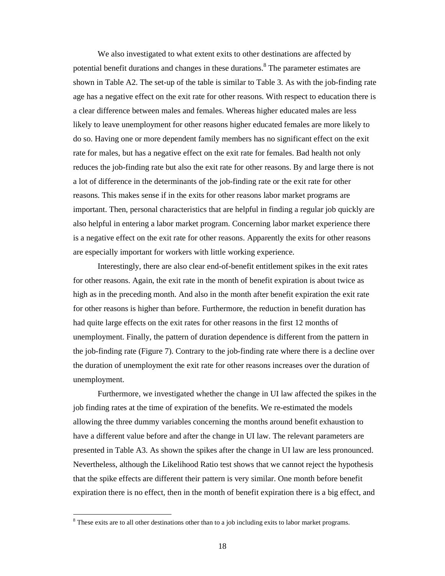We also investigated to what extent exits to other destinations are affected by potential benefit durations and changes in these durations.<sup>8</sup> The parameter estimates are shown in Table A2. The set-up of the table is similar to Table 3. As with the job-finding rate age has a negative effect on the exit rate for other reasons. With respect to education there is a clear difference between males and females. Whereas higher educated males are less likely to leave unemployment for other reasons higher educated females are more likely to do so. Having one or more dependent family members has no significant effect on the exit rate for males, but has a negative effect on the exit rate for females. Bad health not only reduces the job-finding rate but also the exit rate for other reasons. By and large there is not a lot of difference in the determinants of the job-finding rate or the exit rate for other reasons. This makes sense if in the exits for other reasons labor market programs are important. Then, personal characteristics that are helpful in finding a regular job quickly are also helpful in entering a labor market program. Concerning labor market experience there is a negative effect on the exit rate for other reasons. Apparently the exits for other reasons are especially important for workers with little working experience.

Interestingly, there are also clear end-of-benefit entitlement spikes in the exit rates for other reasons. Again, the exit rate in the month of benefit expiration is about twice as high as in the preceding month. And also in the month after benefit expiration the exit rate for other reasons is higher than before. Furthermore, the reduction in benefit duration has had quite large effects on the exit rates for other reasons in the first 12 months of unemployment. Finally, the pattern of duration dependence is different from the pattern in the job-finding rate (Figure 7). Contrary to the job-finding rate where there is a decline over the duration of unemployment the exit rate for other reasons increases over the duration of unemployment.

Furthermore, we investigated whether the change in UI law affected the spikes in the job finding rates at the time of expiration of the benefits. We re-estimated the models allowing the three dummy variables concerning the months around benefit exhaustion to have a different value before and after the change in UI law. The relevant parameters are presented in Table A3. As shown the spikes after the change in UI law are less pronounced. Nevertheless, although the Likelihood Ratio test shows that we cannot reject the hypothesis that the spike effects are different their pattern is very similar. One month before benefit expiration there is no effect, then in the month of benefit expiration there is a big effect, and

 $8$  These exits are to all other destinations other than to a job including exits to labor market programs.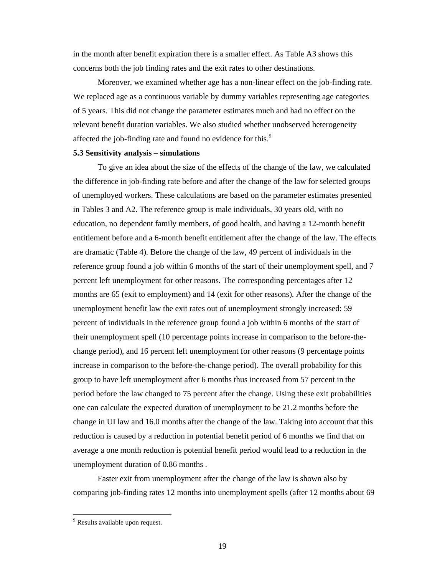in the month after benefit expiration there is a smaller effect. As Table A3 shows this concerns both the job finding rates and the exit rates to other destinations.

Moreover, we examined whether age has a non-linear effect on the job-finding rate. We replaced age as a continuous variable by dummy variables representing age categories of 5 years. This did not change the parameter estimates much and had no effect on the relevant benefit duration variables. We also studied whether unobserved heterogeneity affected the job-finding rate and found no evidence for this.<sup>9</sup>

### **5.3 Sensitivity analysis – simulations**

To give an idea about the size of the effects of the change of the law, we calculated the difference in job-finding rate before and after the change of the law for selected groups of unemployed workers. These calculations are based on the parameter estimates presented in Tables 3 and A2. The reference group is male individuals, 30 years old, with no education, no dependent family members, of good health, and having a 12-month benefit entitlement before and a 6-month benefit entitlement after the change of the law. The effects are dramatic (Table 4). Before the change of the law, 49 percent of individuals in the reference group found a job within 6 months of the start of their unemployment spell, and 7 percent left unemployment for other reasons. The corresponding percentages after 12 months are 65 (exit to employment) and 14 (exit for other reasons). After the change of the unemployment benefit law the exit rates out of unemployment strongly increased: 59 percent of individuals in the reference group found a job within 6 months of the start of their unemployment spell (10 percentage points increase in comparison to the before-thechange period), and 16 percent left unemployment for other reasons (9 percentage points increase in comparison to the before-the-change period). The overall probability for this group to have left unemployment after 6 months thus increased from 57 percent in the period before the law changed to 75 percent after the change. Using these exit probabilities one can calculate the expected duration of unemployment to be 21.2 months before the change in UI law and 16.0 months after the change of the law. Taking into account that this reduction is caused by a reduction in potential benefit period of 6 months we find that on average a one month reduction is potential benefit period would lead to a reduction in the unemployment duration of 0.86 months .

Faster exit from unemployment after the change of the law is shown also by comparing job-finding rates 12 months into unemployment spells (after 12 months about 69

<sup>&</sup>lt;sup>9</sup> Results available upon request.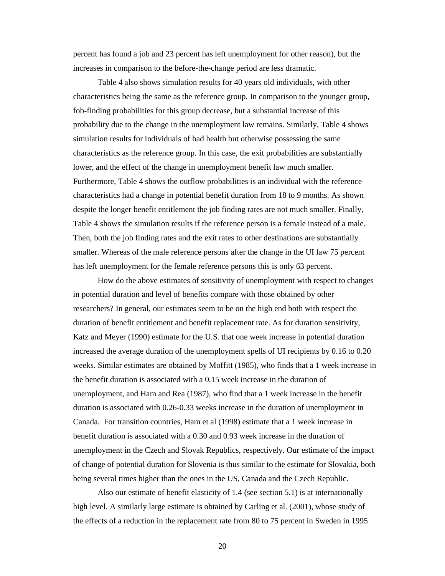percent has found a job and 23 percent has left unemployment for other reason), but the increases in comparison to the before-the-change period are less dramatic.

Table 4 also shows simulation results for 40 years old individuals, with other characteristics being the same as the reference group. In comparison to the younger group, fob-finding probabilities for this group decrease, but a substantial increase of this probability due to the change in the unemployment law remains. Similarly, Table 4 shows simulation results for individuals of bad health but otherwise possessing the same characteristics as the reference group. In this case, the exit probabilities are substantially lower, and the effect of the change in unemployment benefit law much smaller. Furthermore, Table 4 shows the outflow probabilities is an individual with the reference characteristics had a change in potential benefit duration from 18 to 9 months. As shown despite the longer benefit entitlement the job finding rates are not much smaller. Finally, Table 4 shows the simulation results if the reference person is a female instead of a male. Then, both the job finding rates and the exit rates to other destinations are substantially smaller. Whereas of the male reference persons after the change in the UI law 75 percent has left unemployment for the female reference persons this is only 63 percent.

How do the above estimates of sensitivity of unemployment with respect to changes in potential duration and level of benefits compare with those obtained by other researchers? In general, our estimates seem to be on the high end both with respect the duration of benefit entitlement and benefit replacement rate. As for duration sensitivity, Katz and Meyer (1990) estimate for the U.S. that one week increase in potential duration increased the average duration of the unemployment spells of UI recipients by 0.16 to 0.20 weeks. Similar estimates are obtained by Moffitt (1985), who finds that a 1 week increase in the benefit duration is associated with a 0.15 week increase in the duration of unemployment, and Ham and Rea (1987), who find that a 1 week increase in the benefit duration is associated with 0.26-0.33 weeks increase in the duration of unemployment in Canada. For transition countries, Ham et al (1998) estimate that a 1 week increase in benefit duration is associated with a 0.30 and 0.93 week increase in the duration of unemployment in the Czech and Slovak Republics, respectively. Our estimate of the impact of change of potential duration for Slovenia is thus similar to the estimate for Slovakia, both being several times higher than the ones in the US, Canada and the Czech Republic.

Also our estimate of benefit elasticity of 1.4 (see section 5.1) is at internationally high level. A similarly large estimate is obtained by Carling et al. (2001), whose study of the effects of a reduction in the replacement rate from 80 to 75 percent in Sweden in 1995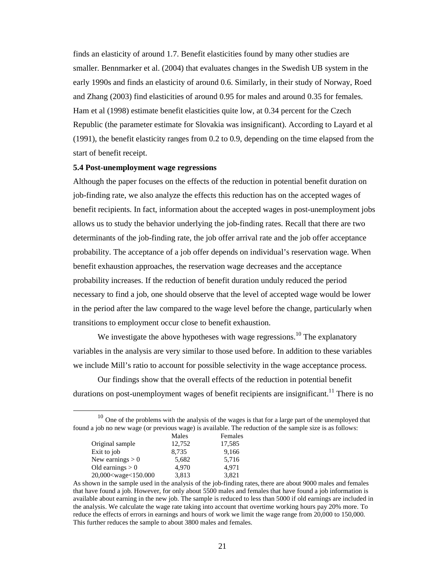finds an elasticity of around 1.7. Benefit elasticities found by many other studies are smaller. Bennmarker et al. (2004) that evaluates changes in the Swedish UB system in the early 1990s and finds an elasticity of around 0.6. Similarly, in their study of Norway, Roed and Zhang (2003) find elasticities of around 0.95 for males and around 0.35 for females. Ham et al (1998) estimate benefit elasticities quite low, at 0.34 percent for the Czech Republic (the parameter estimate for Slovakia was insignificant). According to Layard et al (1991), the benefit elasticity ranges from 0.2 to 0.9, depending on the time elapsed from the start of benefit receipt.

### **5.4 Post-unemployment wage regressions**

Although the paper focuses on the effects of the reduction in potential benefit duration on job-finding rate, we also analyze the effects this reduction has on the accepted wages of benefit recipients. In fact, information about the accepted wages in post-unemployment jobs allows us to study the behavior underlying the job-finding rates. Recall that there are two determinants of the job-finding rate, the job offer arrival rate and the job offer acceptance probability. The acceptance of a job offer depends on individual's reservation wage. When benefit exhaustion approaches, the reservation wage decreases and the acceptance probability increases. If the reduction of benefit duration unduly reduced the period necessary to find a job, one should observe that the level of accepted wage would be lower in the period after the law compared to the wage level before the change, particularly when transitions to employment occur close to benefit exhaustion.

We investigate the above hypotheses with wage regressions.<sup>10</sup> The explanatory variables in the analysis are very similar to those used before. In addition to these variables we include Mill's ratio to account for possible selectivity in the wage acceptance process.

Our findings show that the overall effects of the reduction in potential benefit durations on post-unemployment wages of benefit recipients are insignificant.<sup>11</sup> There is no

 $10$  One of the problems with the analysis of the wages is that for a large part of the unemployed that found a job no new wage (or previous wage) is available. The reduction of the sample size is as follows:

|                                                                          | Males  | Females |
|--------------------------------------------------------------------------|--------|---------|
| Original sample                                                          | 12,752 | 17,585  |
| Exit to job                                                              | 8,735  | 9,166   |
| New earnings $> 0$                                                       | 5,682  | 5,716   |
| Old earnings $> 0$                                                       | 4.970  | 4.971   |
| 20,000 <wage<150.000< td=""><td>3,813</td><td>3.821</td></wage<150.000<> | 3,813  | 3.821   |

As shown in the sample used in the analysis of the job-finding rates, there are about 9000 males and females that have found a job. However, for only about 5500 males and females that have found a job information is available about earning in the new job. The sample is reduced to less than 5000 if old earnings are included in the analysis. We calculate the wage rate taking into account that overtime working hours pay 20% more. To reduce the effects of errors in earnings and hours of work we limit the wage range from 20,000 to 150,000. This further reduces the sample to about 3800 males and females.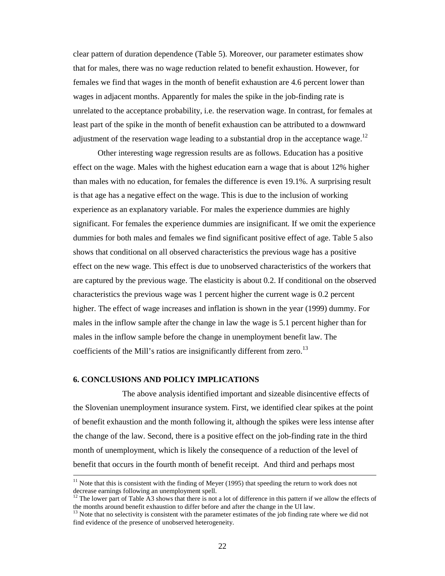clear pattern of duration dependence (Table 5). Moreover, our parameter estimates show that for males, there was no wage reduction related to benefit exhaustion. However, for females we find that wages in the month of benefit exhaustion are 4.6 percent lower than wages in adjacent months. Apparently for males the spike in the job-finding rate is unrelated to the acceptance probability, i.e. the reservation wage. In contrast, for females at least part of the spike in the month of benefit exhaustion can be attributed to a downward adjustment of the reservation wage leading to a substantial drop in the acceptance wage.<sup>12</sup>

Other interesting wage regression results are as follows. Education has a positive effect on the wage. Males with the highest education earn a wage that is about 12% higher than males with no education, for females the difference is even 19.1%. A surprising result is that age has a negative effect on the wage. This is due to the inclusion of working experience as an explanatory variable. For males the experience dummies are highly significant. For females the experience dummies are insignificant. If we omit the experience dummies for both males and females we find significant positive effect of age. Table 5 also shows that conditional on all observed characteristics the previous wage has a positive effect on the new wage. This effect is due to unobserved characteristics of the workers that are captured by the previous wage. The elasticity is about 0.2. If conditional on the observed characteristics the previous wage was 1 percent higher the current wage is 0.2 percent higher. The effect of wage increases and inflation is shown in the year (1999) dummy. For males in the inflow sample after the change in law the wage is 5.1 percent higher than for males in the inflow sample before the change in unemployment benefit law. The coefficients of the Mill's ratios are insignificantly different from zero.<sup>13</sup>

### **6. CONCLUSIONS AND POLICY IMPLICATIONS**

 $\overline{a}$ 

The above analysis identified important and sizeable disincentive effects of the Slovenian unemployment insurance system. First, we identified clear spikes at the point of benefit exhaustion and the month following it, although the spikes were less intense after the change of the law. Second, there is a positive effect on the job-finding rate in the third month of unemployment, which is likely the consequence of a reduction of the level of benefit that occurs in the fourth month of benefit receipt. And third and perhaps most

<sup>&</sup>lt;sup>11</sup> Note that this is consistent with the finding of Meyer (1995) that speeding the return to work does not decrease earnings following an unemployment spell.

<sup>&</sup>lt;sup>12</sup> The lower part of Table A3 shows that there is not a lot of difference in this pattern if we allow the effects of the months around benefit exhaustion to differ before and after the change in the UI law.

 $<sup>13</sup>$  Note that no selectivity is consistent with the parameter estimates of the job finding rate where we did not</sup> find evidence of the presence of unobserved heterogeneity.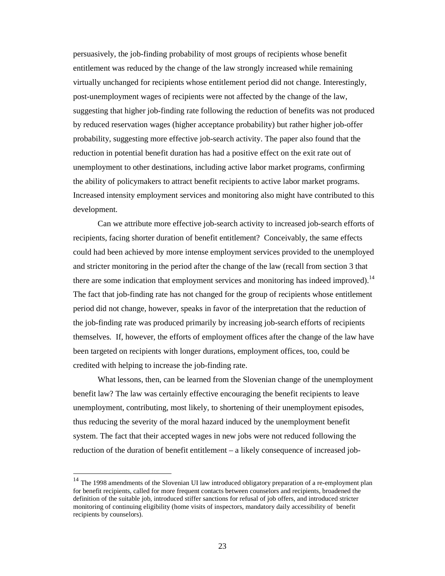persuasively, the job-finding probability of most groups of recipients whose benefit entitlement was reduced by the change of the law strongly increased while remaining virtually unchanged for recipients whose entitlement period did not change. Interestingly, post-unemployment wages of recipients were not affected by the change of the law, suggesting that higher job-finding rate following the reduction of benefits was not produced by reduced reservation wages (higher acceptance probability) but rather higher job-offer probability, suggesting more effective job-search activity. The paper also found that the reduction in potential benefit duration has had a positive effect on the exit rate out of unemployment to other destinations, including active labor market programs, confirming the ability of policymakers to attract benefit recipients to active labor market programs. Increased intensity employment services and monitoring also might have contributed to this development.

Can we attribute more effective job-search activity to increased job-search efforts of recipients, facing shorter duration of benefit entitlement? Conceivably, the same effects could had been achieved by more intense employment services provided to the unemployed and stricter monitoring in the period after the change of the law (recall from section 3 that there are some indication that employment services and monitoring has indeed improved).<sup>14</sup> The fact that job-finding rate has not changed for the group of recipients whose entitlement period did not change, however, speaks in favor of the interpretation that the reduction of the job-finding rate was produced primarily by increasing job-search efforts of recipients themselves. If, however, the efforts of employment offices after the change of the law have been targeted on recipients with longer durations, employment offices, too, could be credited with helping to increase the job-finding rate.

What lessons, then, can be learned from the Slovenian change of the unemployment benefit law? The law was certainly effective encouraging the benefit recipients to leave unemployment, contributing, most likely, to shortening of their unemployment episodes, thus reducing the severity of the moral hazard induced by the unemployment benefit system. The fact that their accepted wages in new jobs were not reduced following the reduction of the duration of benefit entitlement – a likely consequence of increased job-

 14 The 1998 amendments of the Slovenian UI law introduced obligatory preparation of a re-employment plan for benefit recipients, called for more frequent contacts between counselors and recipients, broadened the definition of the suitable job, introduced stiffer sanctions for refusal of job offers, and introduced stricter monitoring of continuing eligibility (home visits of inspectors, mandatory daily accessibility of benefit recipients by counselors).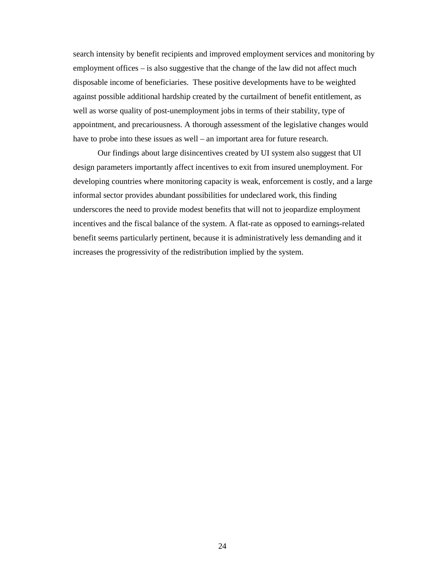search intensity by benefit recipients and improved employment services and monitoring by employment offices – is also suggestive that the change of the law did not affect much disposable income of beneficiaries. These positive developments have to be weighted against possible additional hardship created by the curtailment of benefit entitlement, as well as worse quality of post-unemployment jobs in terms of their stability, type of appointment, and precariousness. A thorough assessment of the legislative changes would have to probe into these issues as well – an important area for future research.

Our findings about large disincentives created by UI system also suggest that UI design parameters importantly affect incentives to exit from insured unemployment. For developing countries where monitoring capacity is weak, enforcement is costly, and a large informal sector provides abundant possibilities for undeclared work, this finding underscores the need to provide modest benefits that will not to jeopardize employment incentives and the fiscal balance of the system. A flat-rate as opposed to earnings-related benefit seems particularly pertinent, because it is administratively less demanding and it increases the progressivity of the redistribution implied by the system.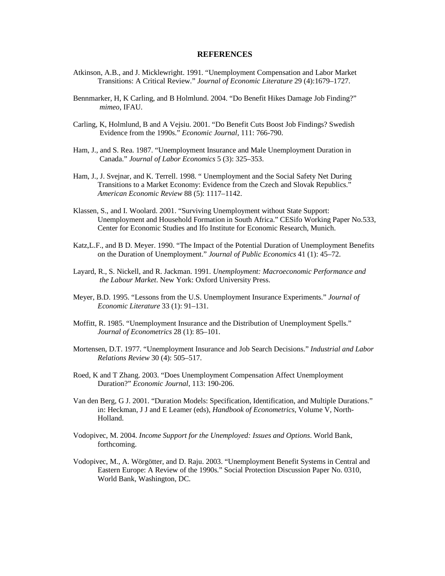### **REFERENCES**

- Atkinson, A.B., and J. Micklewright. 1991. "Unemployment Compensation and Labor Market Transitions: A Critical Review." *Journal of Economic Literature* 29 (4):1679–1727.
- Bennmarker, H, K Carling, and B Holmlund. 2004. "Do Benefit Hikes Damage Job Finding?" *mimeo*, IFAU.
- Carling, K, Holmlund, B and A Vejsiu. 2001. "Do Benefit Cuts Boost Job Findings? Swedish Evidence from the 1990s." *Economic Journal*, 111: 766-790.
- Ham, J., and S. Rea. 1987. "Unemployment Insurance and Male Unemployment Duration in Canada." *Journal of Labor Economics* 5 (3): 325–353.
- Ham, J., J. Svejnar, and K. Terrell. 1998. " Unemployment and the Social Safety Net During Transitions to a Market Economy: Evidence from the Czech and Slovak Republics." *American Economic Review* 88 (5): 1117–1142.
- Klassen, S., and I. Woolard. 2001. "Surviving Unemployment without State Support: Unemployment and Household Formation in South Africa." CESifo Working Paper No.533, Center for Economic Studies and Ifo Institute for Economic Research, Munich.
- Katz,L.F., and B D. Meyer. 1990. "The Impact of the Potential Duration of Unemployment Benefits on the Duration of Unemployment." *Journal of Public Economics* 41 (1): 45–72.
- Layard, R., S. Nickell, and R. Jackman. 1991. *Unemployment: Macroeconomic Performance and the Labour Market*. New York: Oxford University Press.
- Meyer, B.D. 1995. "Lessons from the U.S. Unemployment Insurance Experiments." *Journal of Economic Literature* 33 (1): 91–131.
- Moffitt, R. 1985. "Unemployment Insurance and the Distribution of Unemployment Spells." *Journal of Econometrics* 28 (1): 85–101.
- Mortensen, D.T. 1977. "Unemployment Insurance and Job Search Decisions." *Industrial and Labor Relations Review* 30 (4): 505–517.
- Roed, K and T Zhang. 2003. "Does Unemployment Compensation Affect Unemployment Duration?" *Economic Journal*, 113: 190-206.
- Van den Berg, G J. 2001. "Duration Models: Specification, Identification, and Multiple Durations." in: Heckman, J J and E Leamer (eds), *Handbook of Econometrics*, Volume V, North-Holland.
- Vodopivec, M. 2004. *Income Support for the Unemployed: Issues and Options*. World Bank, forthcoming.
- Vodopivec, M., A. Wörgötter, and D. Raju. 2003. "Unemployment Benefit Systems in Central and Eastern Europe: A Review of the 1990s." Social Protection Discussion Paper No. 0310, World Bank, Washington, DC.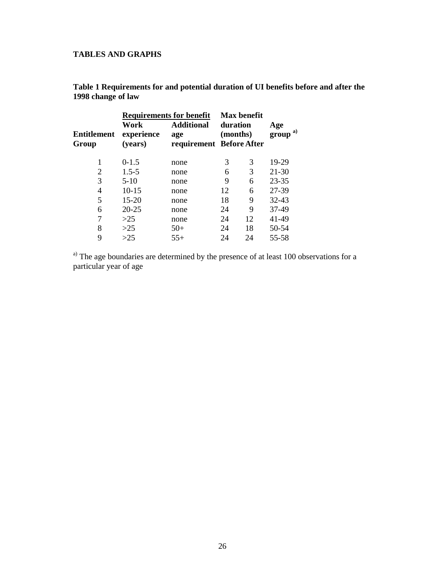### **TABLES AND GRAPHS**

| <b>Requirements for benefit</b> |                               |                                                      |          | <b>Max benefit</b> |                    |
|---------------------------------|-------------------------------|------------------------------------------------------|----------|--------------------|--------------------|
| <b>Entitlement</b><br>Group     | Work<br>experience<br>(years) | <b>Additional</b><br>age<br>requirement Before After | duration | (months)           | Age<br>a)<br>group |
| 1                               | $0-1.5$                       | none                                                 | 3        | 3                  | 19-29              |
| 2                               | $1.5 - 5$                     | none                                                 | 6        | 3                  | $21 - 30$          |
| 3                               | $5-10$                        | none                                                 | 9        | 6                  | $23 - 35$          |
| 4                               | $10 - 15$                     | none                                                 | 12       | 6                  | 27-39              |
| 5                               | $15 - 20$                     | none                                                 | 18       | 9                  | 32-43              |
| 6                               | $20 - 25$                     | none                                                 | 24       | 9                  | 37-49              |
| 7                               | >25                           | none                                                 | 24       | 12                 | 41-49              |
| 8                               | $>25$                         | $50+$                                                | 24       | 18                 | 50-54              |
| 9                               | >25                           | $55+$                                                | 24       | 24                 | 55-58              |

**Table 1 Requirements for and potential duration of UI benefits before and after the 1998 change of law**

<sup>a)</sup> The age boundaries are determined by the presence of at least 100 observations for a particular year of age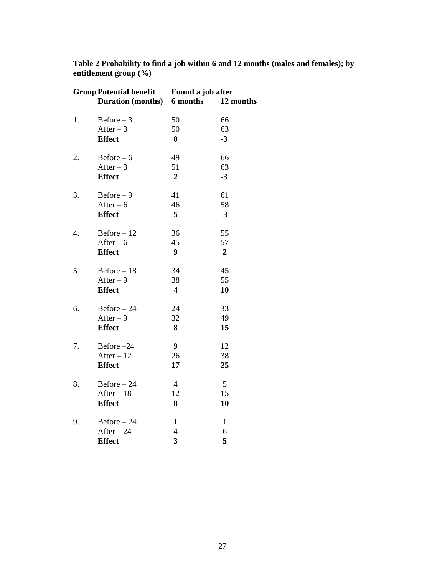| <b>Group Potential benefit</b> |                            | Found a job after       |                |  |  |
|--------------------------------|----------------------------|-------------------------|----------------|--|--|
|                                | Duration (months) 6 months |                         | 12 months      |  |  |
| 1.                             | $Before - 3$               | 50                      | 66             |  |  |
|                                | After $-3$                 | 50                      | 63             |  |  |
|                                | <b>Effect</b>              | $\bf{0}$                | $-3$           |  |  |
| 2.                             | $Before - 6$               | 49                      | 66             |  |  |
|                                | After $-3$                 | 51                      | 63             |  |  |
|                                | <b>Effect</b>              | $\overline{2}$          | $-3$           |  |  |
| 3.                             | $Before-9$                 | 41                      | 61             |  |  |
|                                | After $-6$                 | 46                      | 58             |  |  |
|                                | <b>Effect</b>              | 5                       | $-3$           |  |  |
| 4.                             | $Before - 12$              | 36                      | 55             |  |  |
|                                | After $-6$                 | 45                      | 57             |  |  |
|                                | <b>Effect</b>              | 9                       | $\overline{2}$ |  |  |
| 5.                             | $Before - 18$              | 34                      | 45             |  |  |
|                                | After $-9$                 | 38                      | 55             |  |  |
|                                | <b>Effect</b>              | $\overline{\mathbf{4}}$ | 10             |  |  |
| 6.                             | $Before - 24$              | 24                      | 33             |  |  |
|                                | After $-9$                 | 32                      | 49             |  |  |
|                                | <b>Effect</b>              | 8                       | 15             |  |  |
| 7.                             | Before -24                 | 9                       | 12             |  |  |
|                                | After $-12$                | 26                      | 38             |  |  |
|                                | <b>Effect</b>              | 17                      | 25             |  |  |
| 8.                             | $Before - 24$              | $\overline{4}$          | 5              |  |  |
|                                | $After - 18$               | 12                      | 15             |  |  |
|                                | <b>Effect</b>              | 8                       | 10             |  |  |
| 9.                             | $Before - 24$              | $\mathbf{1}$            | $\mathbf{1}$   |  |  |
|                                | $After - 24$               | 4                       | 6              |  |  |
|                                | <b>Effect</b>              | 3                       | 5              |  |  |

**Table 2 Probability to find a job within 6 and 12 months (males and females); by entitlement group (%)**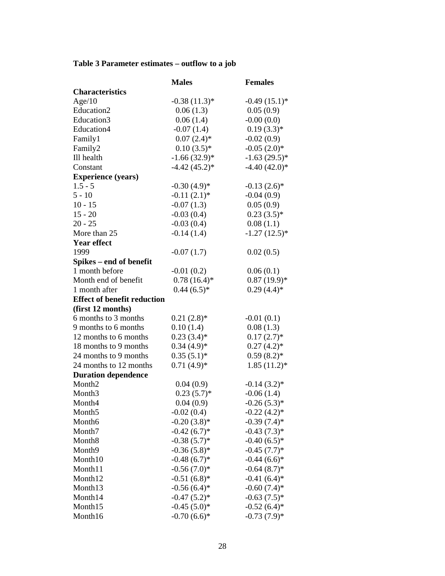### **Table 3 Parameter estimates – outflow to a job**

|                                    | <b>Males</b>    | <b>Females</b>  |
|------------------------------------|-----------------|-----------------|
| <b>Characteristics</b>             |                 |                 |
| Age/10                             | $-0.38(11.3)*$  | $-0.49(15.1)$ * |
| Education2                         | 0.06(1.3)       | 0.05(0.9)       |
| Education3                         | 0.06(1.4)       | $-0.00(0.0)$    |
| Education4                         | $-0.07(1.4)$    | $0.19(3.3)*$    |
| Family1                            | $0.07(2.4)$ *   | $-0.02(0.9)$    |
| Family2                            | $0.10(3.5)*$    | $-0.05(2.0)*$   |
| Ill health                         | $-1.66(32.9)*$  | $-1.63(29.5)*$  |
| Constant                           | $-4.42(45.2)$ * | $-4.40(42.0)*$  |
| <b>Experience (years)</b>          |                 |                 |
| $1.5 - 5$                          | $-0.30(4.9)*$   | $-0.13(2.6)$ *  |
| $5 - 10$                           | $-0.11(2.1)$ *  | $-0.04(0.9)$    |
| $10 - 15$                          | $-0.07(1.3)$    | 0.05(0.9)       |
| $15 - 20$                          | $-0.03(0.4)$    | $0.23(3.5)*$    |
| $20 - 25$                          | $-0.03(0.4)$    | 0.08(1.1)       |
| More than 25                       | $-0.14(1.4)$    | $-1.27(12.5)$ * |
| <b>Year effect</b>                 |                 |                 |
| 1999                               | $-0.07(1.7)$    | 0.02(0.5)       |
| Spikes – end of benefit            |                 |                 |
| 1 month before                     | $-0.01(0.2)$    | 0.06(0.1)       |
| Month end of benefit               | $0.78(16.4)$ *  | $0.87(19.9)*$   |
| 1 month after                      | $0.44(6.5)*$    | $0.29(4.4)$ *   |
| <b>Effect of benefit reduction</b> |                 |                 |
| (first 12 months)                  |                 |                 |
| 6 months to 3 months               | $0.21(2.8)$ *   | $-0.01(0.1)$    |
| 9 months to 6 months               | 0.10(1.4)       | 0.08(1.3)       |
| 12 months to 6 months              | $0.23(3.4)$ *   | $0.17(2.7)$ *   |
| 18 months to 9 months              | $0.34(4.9)*$    | $0.27(4.2)$ *   |
| 24 months to 9 months              | $0.35(5.1)$ *   | $0.59(8.2)*$    |
| 24 months to 12 months             | $0.71(4.9)*$    | $1.85(11.2)^*$  |
| <b>Duration dependence</b>         |                 |                 |
| Month <sub>2</sub>                 | 0.04(0.9)       | $-0.14(3.2)$ *  |
| Month <sub>3</sub>                 | $0.23(5.7)$ *   | $-0.06(1.4)$    |
| Month4                             | 0.04(0.9)       | $-0.26(5.3)*$   |
| Month <sub>5</sub>                 | $-0.02(0.4)$    | $-0.22(4.2)$ *  |
| Month6                             | $-0.20(3.8)$ *  | $-0.39(7.4)$ *  |
| Month7                             | $-0.42(6.7)$ *  | $-0.43(7.3)*$   |
| Month <sub>8</sub>                 | $-0.38(5.7)$ *  | $-0.40(6.5)*$   |
| Month9                             | $-0.36(5.8)$ *  | $-0.45(7.7)$ *  |
| Month10                            | $-0.48(6.7)$ *  | $-0.44(6.6)*$   |
| Month11                            | $-0.56(7.0)*$   | $-0.64(8.7)$ *  |
| Month12                            | $-0.51(6.8)$ *  | $-0.41(6.4)$ *  |
| Month13                            | $-0.56(6.4)$ *  | $-0.60(7.4)$ *  |
| Month14                            | $-0.47(5.2)$ *  | $-0.63(7.5)*$   |
| Month15                            | $-0.45(5.0)$ *  | $-0.52(6.4)$ *  |
| Month16                            | $-0.70(6.6)*$   | $-0.73(7.9)*$   |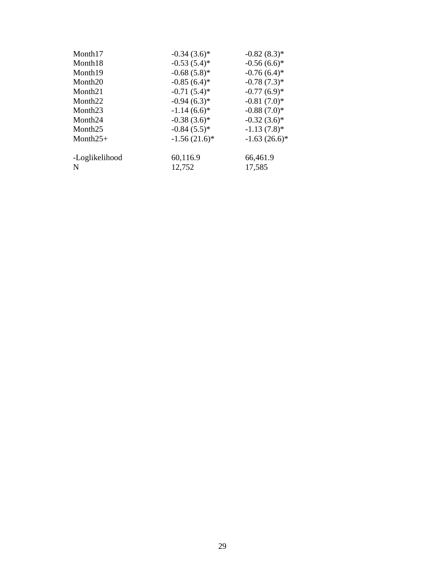| Month17             | $-0.34(3.6)$ *  | $-0.82(8.3)*$  |
|---------------------|-----------------|----------------|
| Month18             | $-0.53(5.4)$ *  | $-0.56(6.6)*$  |
| Month <sub>19</sub> | $-0.68(5.8)*$   | $-0.76(6.4)$ * |
| Month <sub>20</sub> | $-0.85(6.4)$ *  | $-0.78(7.3)*$  |
| Month <sub>21</sub> | $-0.71(5.4)$ *  | $-0.77(6.9)*$  |
| Month <sub>22</sub> | $-0.94(6.3)*$   | $-0.81(7.0)*$  |
| Month <sub>23</sub> | $-1.14(6.6)*$   | $-0.88(7.0)*$  |
| Month <sub>24</sub> | $-0.38(3.6)$ *  | $-0.32(3.6)*$  |
| Month <sub>25</sub> | $-0.84(5.5)*$   | $-1.13(7.8)$ * |
| Month $25+$         | $-1.56(21.6)^*$ | $-1.63(26.6)*$ |
| -Loglikelihood      | 60,116.9        | 66,461.9       |
| N                   | 12,752          | 17,585         |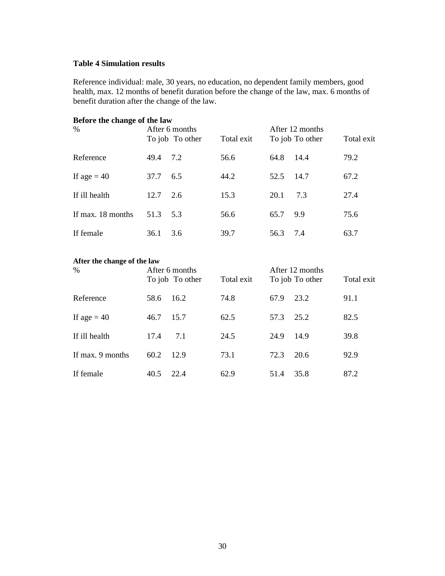### **Table 4 Simulation results**

Reference individual: male, 30 years, no education, no dependent family members, good health, max. 12 months of benefit duration before the change of the law, max. 6 months of benefit duration after the change of the law.

| Before the change of the law<br>$\%$ |      | After 6 months  |            |      | After 12 months |            |
|--------------------------------------|------|-----------------|------------|------|-----------------|------------|
|                                      |      | To job To other | Total exit |      | To job To other | Total exit |
| Reference                            | 49.4 | 7.2             | 56.6       | 64.8 | 14.4            | 79.2       |
| If age $= 40$                        | 37.7 | 6.5             | 44.2       | 52.5 | 14.7            | 67.2       |
| If ill health                        | 12.7 | 2.6             | 15.3       | 20.1 | 7.3             | 27.4       |
| If max. 18 months                    | 51.3 | 5.3             | 56.6       | 65.7 | 9.9             | 75.6       |
| If female                            | 36.1 | 3.6             | 39.7       | 56.3 | 7.4             | 63.7       |

### **After the change of the law**

| $\%$             |      | After 6 months<br>To job To other | Total exit |      | After 12 months<br>To job To other | Total exit |
|------------------|------|-----------------------------------|------------|------|------------------------------------|------------|
| Reference        | 58.6 | 16.2                              | 74.8       | 67.9 | 23.2                               | 91.1       |
| If age $= 40$    | 46.7 | 15.7                              | 62.5       | 57.3 | 25.2                               | 82.5       |
| If ill health    | 17.4 | 7.1                               | 24.5       | 24.9 | 14.9                               | 39.8       |
| If max. 9 months | 60.2 | 12.9                              | 73.1       | 72.3 | 20.6                               | 92.9       |
| If female        | 40.5 | 22.4                              | 62.9       | 51.4 | 35.8                               | 87.2       |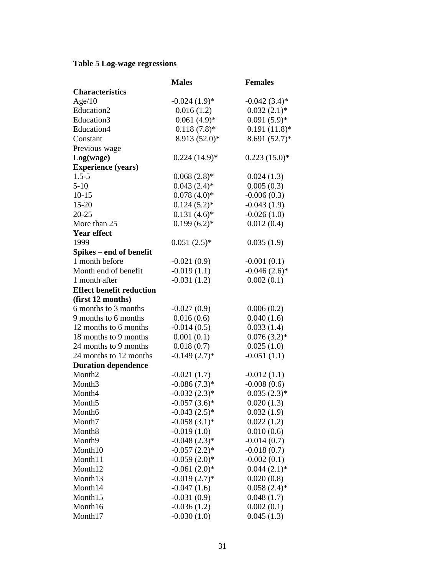### **Table 5 Log-wage regressions**

|                                 | <b>Males</b>    | <b>Females</b>  |
|---------------------------------|-----------------|-----------------|
| <b>Characteristics</b>          |                 |                 |
| Age/10                          | $-0.024(1.9)*$  | $-0.042(3.4)$ * |
| Education2                      | 0.016(1.2)      | $0.032(2.1)$ *  |
| Education3                      | $0.061(4.9)*$   | $0.091(5.9)*$   |
| Education4                      | $0.118(7.8)$ *  | $0.191(11.8)$ * |
| Constant                        | 8.913 (52.0)*   | 8.691 (52.7)*   |
| Previous wage                   |                 |                 |
| Log(wage)                       | $0.224(14.9)*$  | $0.223(15.0)*$  |
| <b>Experience (years)</b>       |                 |                 |
| $1.5 - 5$                       | $0.068(2.8)*$   | 0.024(1.3)      |
| $5-10$                          | $0.043(2.4)$ *  | 0.005(0.3)      |
| $10-15$                         | $0.078(4.0)*$   | $-0.006(0.3)$   |
| $15 - 20$                       | $0.124(5.2)$ *  | $-0.043(1.9)$   |
| $20 - 25$                       | $0.131(4.6)*$   | $-0.026(1.0)$   |
| More than 25                    | $0.199(6.2)$ *  | 0.012(0.4)      |
| <b>Year effect</b>              |                 |                 |
| 1999                            | $0.051(2.5)*$   | 0.035(1.9)      |
| Spikes – end of benefit         |                 |                 |
| 1 month before                  | $-0.021(0.9)$   | $-0.001(0.1)$   |
| Month end of benefit            | $-0.019(1.1)$   | $-0.046(2.6)$ * |
| 1 month after                   | $-0.031(1.2)$   | 0.002(0.1)      |
| <b>Effect benefit reduction</b> |                 |                 |
| (first 12 months)               |                 |                 |
| 6 months to 3 months            | $-0.027(0.9)$   | 0.006(0.2)      |
| 9 months to 6 months            | 0.016(0.6)      | 0.040(1.6)      |
| 12 months to 6 months           | $-0.014(0.5)$   | 0.033(1.4)      |
| 18 months to 9 months           | 0.001(0.1)      | $0.076(3.2)*$   |
| 24 months to 9 months           | 0.018(0.7)      | 0.025(1.0)      |
| 24 months to 12 months          | $-0.149(2.7)$ * | $-0.051(1.1)$   |
| <b>Duration dependence</b>      |                 |                 |
| Month <sub>2</sub>              | $-0.021(1.7)$   | $-0.012(1.1)$   |
| Month <sub>3</sub>              | $-0.086(7.3)*$  | $-0.008(0.6)$   |
| Month4                          | $-0.032(2.3)*$  | $0.035(2.3)*$   |
| Month <sub>5</sub>              | $-0.057(3.6)$ * | 0.020(1.3)      |
| Month <sub>6</sub>              | $-0.043(2.5)$ * | 0.032(1.9)      |
| Month7                          | $-0.058(3.1)$ * | 0.022(1.2)      |
| Month <sub>8</sub>              | $-0.019(1.0)$   | 0.010(0.6)      |
| Month9                          | $-0.048(2.3)*$  | $-0.014(0.7)$   |
| Month10                         | $-0.057(2.2)$ * | $-0.018(0.7)$   |
| Month11                         | $-0.059(2.0)*$  | $-0.002(0.1)$   |
| Month12                         | $-0.061(2.0)*$  | $0.044(2.1)$ *  |
| Month13                         | $-0.019(2.7)$ * | 0.020(0.8)      |
| Month14                         | $-0.047(1.6)$   | $0.058(2.4)$ *  |
| Month15                         | $-0.031(0.9)$   | 0.048(1.7)      |
| Month16                         | $-0.036(1.2)$   | 0.002(0.1)      |
| Month17                         | $-0.030(1.0)$   | 0.045(1.3)      |
|                                 |                 |                 |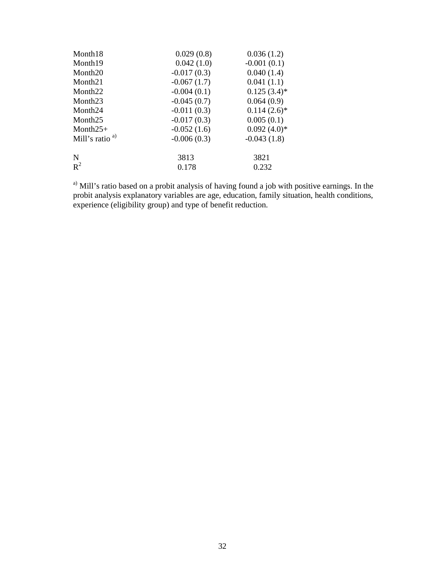| 0.029(0.8)    | 0.036(1.2)     |
|---------------|----------------|
| 0.042(1.0)    | $-0.001(0.1)$  |
| $-0.017(0.3)$ | 0.040(1.4)     |
| $-0.067(1.7)$ | 0.041(1.1)     |
| $-0.004(0.1)$ | $0.125(3.4)$ * |
| $-0.045(0.7)$ | 0.064(0.9)     |
| $-0.011(0.3)$ | $0.114(2.6)$ * |
| $-0.017(0.3)$ | 0.005(0.1)     |
| $-0.052(1.6)$ | $0.092(4.0)*$  |
| $-0.006(0.3)$ | $-0.043(1.8)$  |
| 3813          | 3821           |
| 0.178         | 0.232          |
|               |                |

<sup>a)</sup> Mill's ratio based on a probit analysis of having found a job with positive earnings. In the probit analysis explanatory variables are age, education, family situation, health conditions, experience (eligibility group) and type of benefit reduction.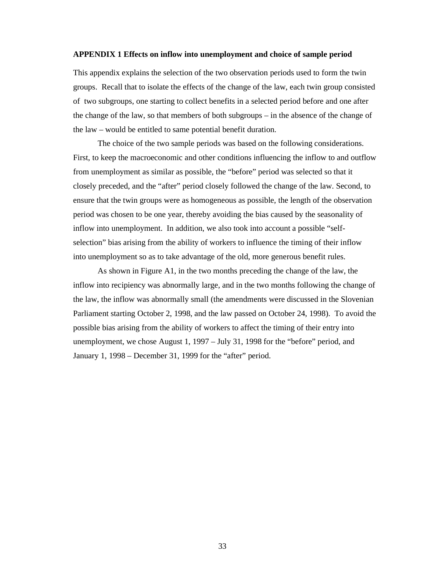### **APPENDIX 1 Effects on inflow into unemployment and choice of sample period**

This appendix explains the selection of the two observation periods used to form the twin groups. Recall that to isolate the effects of the change of the law, each twin group consisted of two subgroups, one starting to collect benefits in a selected period before and one after the change of the law, so that members of both subgroups – in the absence of the change of the law – would be entitled to same potential benefit duration.

The choice of the two sample periods was based on the following considerations. First, to keep the macroeconomic and other conditions influencing the inflow to and outflow from unemployment as similar as possible, the "before" period was selected so that it closely preceded, and the "after" period closely followed the change of the law. Second, to ensure that the twin groups were as homogeneous as possible, the length of the observation period was chosen to be one year, thereby avoiding the bias caused by the seasonality of inflow into unemployment. In addition, we also took into account a possible "selfselection" bias arising from the ability of workers to influence the timing of their inflow into unemployment so as to take advantage of the old, more generous benefit rules.

As shown in Figure A1, in the two months preceding the change of the law, the inflow into recipiency was abnormally large, and in the two months following the change of the law, the inflow was abnormally small (the amendments were discussed in the Slovenian Parliament starting October 2, 1998, and the law passed on October 24, 1998). To avoid the possible bias arising from the ability of workers to affect the timing of their entry into unemployment, we chose August 1, 1997 – July 31, 1998 for the "before" period, and January 1, 1998 – December 31, 1999 for the "after" period.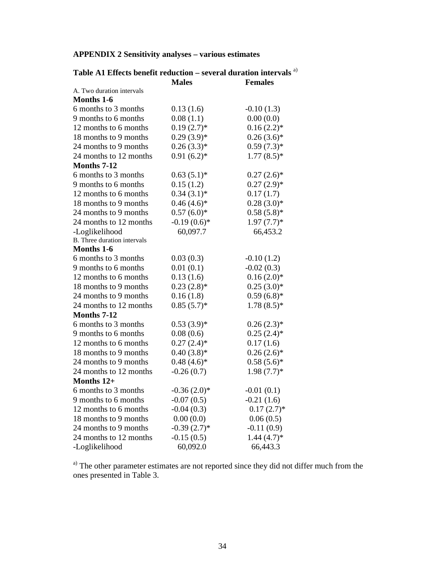| <b>APPENDIX 2 Sensitivity analyses - various estimates</b> |  |  |  |
|------------------------------------------------------------|--|--|--|
|------------------------------------------------------------|--|--|--|

| Table A1 Effects benefit reduction – several duration intervals $a$ ) |                |                |  |  |
|-----------------------------------------------------------------------|----------------|----------------|--|--|
|                                                                       | <b>Males</b>   | <b>Females</b> |  |  |
| A. Two duration intervals                                             |                |                |  |  |
| <b>Months 1-6</b>                                                     |                |                |  |  |
| 6 months to 3 months                                                  | 0.13(1.6)      | $-0.10(1.3)$   |  |  |
| 9 months to 6 months                                                  | 0.08(1.1)      | 0.00(0.0)      |  |  |
| 12 months to 6 months                                                 | $0.19(2.7)$ *  | $0.16(2.2)*$   |  |  |
| 18 months to 9 months                                                 | $0.29(3.9)*$   | $0.26(3.6)*$   |  |  |
| 24 months to 9 months                                                 | $0.26(3.3)*$   | $0.59(7.3)*$   |  |  |
| 24 months to 12 months                                                | $0.91(6.2)$ *  | $1.77(8.5)$ *  |  |  |
| Months 7-12                                                           |                |                |  |  |
| 6 months to 3 months                                                  | $0.63(5.1)*$   | $0.27(2.6)$ *  |  |  |
| 9 months to 6 months                                                  | 0.15(1.2)      | $0.27(2.9)*$   |  |  |
| 12 months to 6 months                                                 | $0.34(3.1)*$   | 0.17(1.7)      |  |  |
| 18 months to 9 months                                                 | $0.46(4.6)*$   | $0.28(3.0)*$   |  |  |
| 24 months to 9 months                                                 | $0.57(6.0)*$   | $0.58(5.8)*$   |  |  |
| 24 months to 12 months                                                | $-0.19(0.6)$ * | $1.97(7.7)$ *  |  |  |
| -Loglikelihood                                                        | 60,097.7       | 66,453.2       |  |  |
| B. Three duration intervals                                           |                |                |  |  |
| <b>Months 1-6</b>                                                     |                |                |  |  |
| 6 months to 3 months                                                  | 0.03(0.3)      | $-0.10(1.2)$   |  |  |
| 9 months to 6 months                                                  | 0.01(0.1)      | $-0.02(0.3)$   |  |  |
| 12 months to 6 months                                                 | 0.13(1.6)      | $0.16(2.0)*$   |  |  |
| 18 months to 9 months                                                 | $0.23(2.8)$ *  | $0.25(3.0)*$   |  |  |
| 24 months to 9 months                                                 | 0.16(1.8)      | $0.59(6.8)*$   |  |  |
| 24 months to 12 months                                                | $0.85(5.7)$ *  | $1.78(8.5)*$   |  |  |
| Months 7-12                                                           |                |                |  |  |
| 6 months to 3 months                                                  | $0.53(3.9)*$   | $0.26(2.3)*$   |  |  |
| 9 months to 6 months                                                  | 0.08(0.6)      | $0.25(2.4)$ *  |  |  |
| 12 months to 6 months                                                 | $0.27(2.4)$ *  | 0.17(1.6)      |  |  |
| 18 months to 9 months                                                 | $0.40(3.8)*$   | $0.26(2.6)*$   |  |  |
| 24 months to 9 months                                                 | $0.48(4.6)*$   | $0.58(5.6)*$   |  |  |
| 24 months to 12 months                                                | $-0.26(0.7)$   | $1.98(7.7)$ *  |  |  |
| Months 12+                                                            |                |                |  |  |
| 6 months to 3 months                                                  | $-0.36(2.0)*$  | $-0.01(0.1)$   |  |  |
| 9 months to 6 months                                                  | $-0.07(0.5)$   | $-0.21(1.6)$   |  |  |
| 12 months to 6 months                                                 | $-0.04(0.3)$   | $0.17(2.7)$ *  |  |  |
| 18 months to 9 months                                                 | 0.00(0.0)      | 0.06(0.5)      |  |  |
| 24 months to 9 months                                                 | $-0.39(2.7)$ * | $-0.11(0.9)$   |  |  |
| 24 months to 12 months                                                | $-0.15(0.5)$   | $1.44(4.7)$ *  |  |  |
| -Loglikelihood                                                        | 60,092.0       | 66,443.3       |  |  |

<sup>a)</sup> The other parameter estimates are not reported since they did not differ much from the ones presented in Table 3.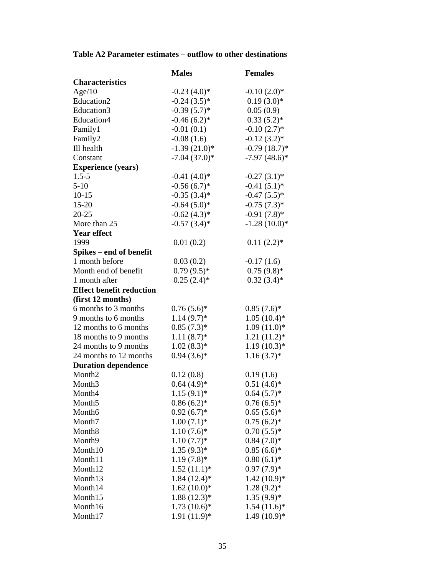# **Table A2 Parameter estimates – outflow to other destinations**

|                                 | <b>Males</b>   | <b>Females</b>  |
|---------------------------------|----------------|-----------------|
| <b>Characteristics</b>          |                |                 |
| Age/10                          | $-0.23(4.0)$ * | $-0.10(2.0)*$   |
| Education2                      | $-0.24(3.5)*$  | $0.19(3.0)*$    |
| Education3                      | $-0.39(5.7)$ * | 0.05(0.9)       |
| Education4                      | $-0.46(6.2)$ * | $0.33(5.2)$ *   |
| Family1                         | $-0.01(0.1)$   | $-0.10(2.7)$ *  |
| Family2                         | $-0.08(1.6)$   | $-0.12(3.2)$ *  |
| Ill health                      | $-1.39(21.0)*$ | $-0.79(18.7)$ * |
| Constant                        | $-7.04(37.0)*$ | $-7.97(48.6)$ * |
| <b>Experience (years)</b>       |                |                 |
| $1.5 - 5$                       | $-0.41(4.0)*$  | $-0.27(3.1)$ *  |
| $5-10$                          | $-0.56(6.7)$ * | $-0.41(5.1)$ *  |
| $10-15$                         | $-0.35(3.4)$ * | $-0.47(5.5)*$   |
| $15 - 20$                       | $-0.64(5.0)*$  | $-0.75(7.3)$ *  |
| $20 - 25$                       | $-0.62(4.3)*$  | $-0.91(7.8)$ *  |
| More than 25                    | $-0.57(3.4)$ * | $-1.28(10.0)*$  |
| <b>Year effect</b>              |                |                 |
| 1999                            | 0.01(0.2)      | $0.11(2.2)$ *   |
| Spikes – end of benefit         |                |                 |
| 1 month before                  | 0.03(0.2)      | $-0.17(1.6)$    |
| Month end of benefit            | $0.79(9.5)*$   | $0.75(9.8)$ *   |
| 1 month after                   | $0.25(2.4)$ *  | $0.32(3.4)*$    |
| <b>Effect benefit reduction</b> |                |                 |
| (first 12 months)               |                |                 |
| 6 months to 3 months            | $0.76(5.6)*$   | $0.85(7.6)$ *   |
| 9 months to 6 months            | $1.14(9.7)$ *  | $1.05(10.4)$ *  |
| 12 months to 6 months           | $0.85(7.3)*$   | $1.09(11.0)*$   |
| 18 months to 9 months           | $1.11(8.7)$ *  | $1.21(11.2)^*$  |
| 24 months to 9 months           | $1.02(8.3)*$   | $1.19(10.3)*$   |
| 24 months to 12 months          | $0.94(3.6)*$   | $1.16(3.7)$ *   |
| <b>Duration dependence</b>      |                |                 |
| Month <sub>2</sub>              | 0.12(0.8)      | 0.19(1.6)       |
| Month <sub>3</sub>              | $0.64(4.9)*$   | $0.51(4.6)$ *   |
| Month4                          | $1.15(9.1)$ *  | $0.64(5.7)*$    |
| Month <sub>5</sub>              | $0.86(6.2)$ *  | $0.76(6.5)*$    |
| Month6                          | $0.92(6.7)*$   | $0.65(5.6)$ *   |
| Month7                          | $1.00(7.1)$ *  | $0.75(6.2)$ *   |
| Month <sub>8</sub>              | $1.10(7.6)*$   | $0.70(5.5)*$    |
| Month <sub>9</sub>              | $1.10(7.7)*$   | $0.84(7.0)*$    |
| Month10                         | $1.35(9.3)*$   | $0.85(6.6)*$    |
| Month11                         | $1.19(7.8)$ *  | $0.80(6.1)$ *   |
| Month12                         | $1.52(11.1)*$  | $0.97(7.9)*$    |
| Month13                         | $1.84(12.4)$ * | $1.42(10.9)*$   |
| Month14                         | $1.62(10.0)*$  | $1.28(9.2)$ *   |
| Month15                         | $1.88(12.3)*$  | $1.35(9.9)*$    |
| Month16                         | $1.73(10.6)*$  | $1.54(11.6)$ *  |
| Month17                         | $1.91(11.9)*$  | $1.49(10.9)*$   |
|                                 |                |                 |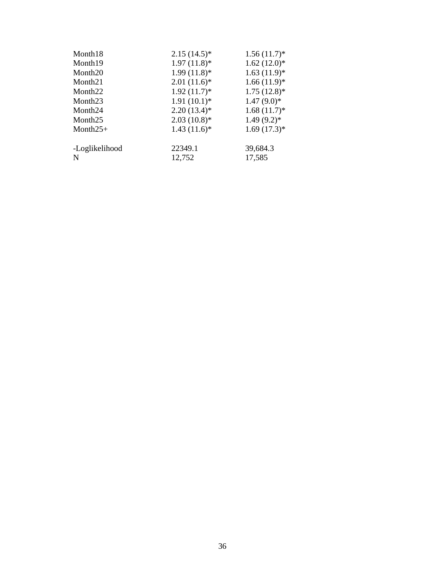| Month18             | $2.15(14.5)^*$ | $1.56(11.7)$ * |
|---------------------|----------------|----------------|
| Month <sub>19</sub> | $1.97(11.8)$ * | $1.62(12.0)*$  |
| Month <sub>20</sub> | $1.99(11.8)$ * | $1.63(11.9)$ * |
| Month <sub>21</sub> | $2.01(11.6)$ * | $1.66(11.9)$ * |
| Month <sub>22</sub> | $1.92(11.7)$ * | $1.75(12.8)$ * |
| Month <sub>23</sub> | $1.91(10.1)$ * | $1.47(9.0)*$   |
| Month <sub>24</sub> | $2.20(13.4)$ * | $1.68(11.7)$ * |
| Month <sub>25</sub> | $2.03(10.8)$ * | $1.49(9.2)$ *  |
| Month $25+$         | $1.43(11.6)$ * | $1.69(17.3)*$  |
|                     |                |                |
| -Loglikelihood      | 22349.1        | 39,684.3       |
| N                   | 12,752         | 17,585         |
|                     |                |                |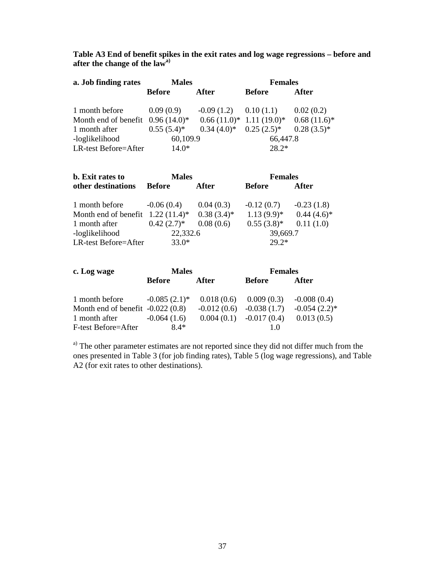**Table A3 End of benefit spikes in the exit rates and log wage regressions – before and after the change of the law a)**

| a. Job finding rates                | <b>Males</b>    |                             | <b>Females</b> |                |
|-------------------------------------|-----------------|-----------------------------|----------------|----------------|
|                                     | Before          | After                       | <b>Before</b>  | After          |
| 1 month before                      | 0.09(0.9)       | $-0.09(1.2)$ $0.10(1.1)$    |                | 0.02(0.2)      |
| Month end of benefit $0.96(14.0)^*$ |                 | $0.66(11.0)^*$ 1.11 (19.0)* |                | $0.68(11.6)^*$ |
| 1 month after                       | $0.55(5.4)^{*}$ | $0.34(4.0)^*$ $0.25(2.5)^*$ |                | $0.28(3.5)*$   |
| -loglikelihood                      | 60,109.9        |                             | 66,447.8       |                |
| LR-test Before=After                | $14.0*$         |                             | $28.2*$        |                |

| <b>b.</b> Exit rates to             | <b>Males</b>  |               | <b>Females</b> |               |
|-------------------------------------|---------------|---------------|----------------|---------------|
| other destinations                  | <b>Before</b> | <b>After</b>  | <b>Before</b>  | After         |
| 1 month before                      | $-0.06(0.4)$  | 0.04(0.3)     | $-0.12(0.7)$   | $-0.23(1.8)$  |
| Month end of benefit $1.22$ (11.4)* |               | $0.38(3.4)$ * | $1.13(9.9)^*$  | $0.44(4.6)^*$ |
| 1 month after                       | $0.42(2.7)^*$ | 0.08(0.6)     | $0.55(3.8)$ *  | 0.11(1.0)     |
| -loglikelihood                      | 22,332.6      |               | 39,669.7       |               |
| LR-test Before=After                | $33.0*$       |               | $29.2*$        |               |

| c. Log wage                        | <b>Males</b>      |               | <b>Females</b>             |                 |
|------------------------------------|-------------------|---------------|----------------------------|-----------------|
|                                    | Before            | After         | Before                     | After           |
| 1 month before                     | $-0.085(2.1)^{*}$ | 0.018(0.6)    | 0.009(0.3)                 | $-0.008(0.4)$   |
| Month end of benefit $-0.022(0.8)$ |                   | $-0.012(0.6)$ | $-0.038(1.7)$              | $-0.054(2.2)$ * |
| 1 month after                      | $-0.064(1.6)$     |               | $0.004(0.1)$ $-0.017(0.4)$ | 0.013(0.5)      |
| F-test Before=After                | $8.4*$            |               |                            |                 |

<sup>a)</sup> The other parameter estimates are not reported since they did not differ much from the ones presented in Table 3 (for job finding rates), Table 5 (log wage regressions), and Table A2 (for exit rates to other destinations).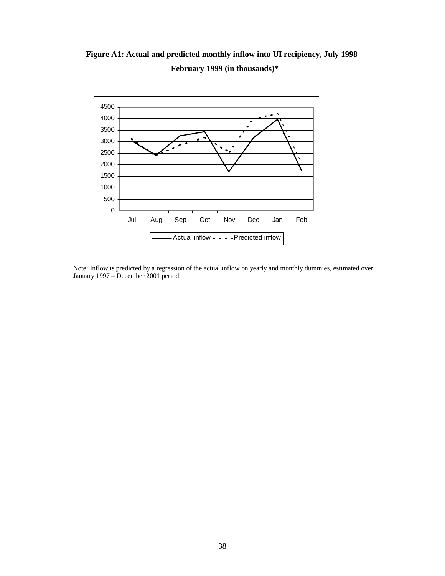**Figure A1: Actual and predicted monthly inflow into UI recipiency, July 1998 – February 1999 (in thousands)\***



Note: Inflow is predicted by a regression of the actual inflow on yearly and monthly dummies, estimated over January 1997 – December 2001 period.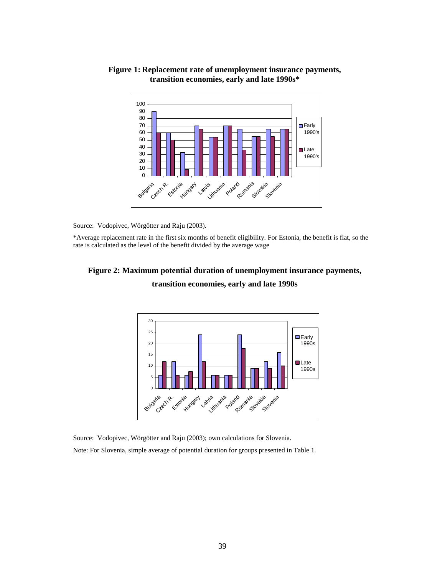

### **Figure 1: Replacement rate of unemployment insurance payments, transition economies, early and late 1990s\***

Source: Vodopivec, Wörgötter and Raju (2003).

\*Average replacement rate in the first six months of benefit eligibility. For Estonia, the benefit is flat, so the rate is calculated as the level of the benefit divided by the average wage

## **Figure 2: Maximum potential duration of unemployment insurance payments, transition economies, early and late 1990s**



Source: Vodopivec, Wörgötter and Raju (2003); own calculations for Slovenia.

Note: For Slovenia, simple average of potential duration for groups presented in Table 1.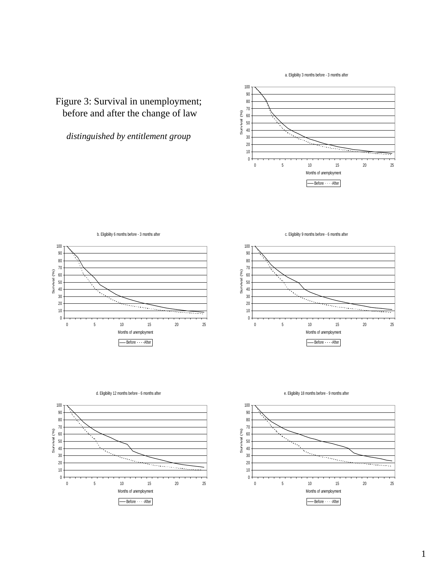a. Eligibility 3 months before - 3 months after

# Figure 3: Survival in unemployment; before and after the change of law

*distinguished by entitlement group*

 $\mathbf{0}$  5 10 15 20 25 Months of unemployment Survival (%) -Before After







d. Eligibility 12 months before - 6 months after

e. Eligibility 18 months before - 9 months after



c. Eligibility 9 months before - 6 months after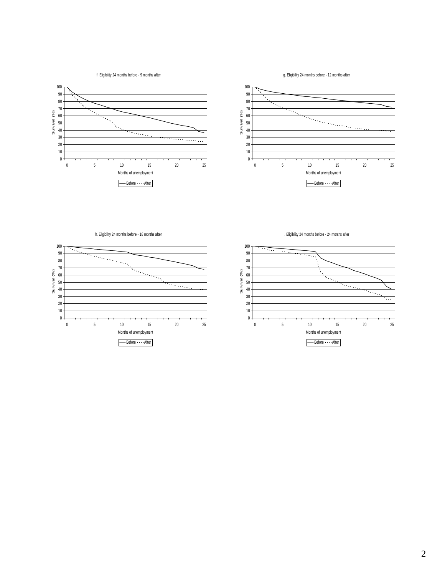f. Eligibility 24 months before - 9 months after

g. Eligibility 24 months before - 12 months after





h. Eligibility 24 months before - 18 months after



i. Eligibility 24 months before - 24 months after

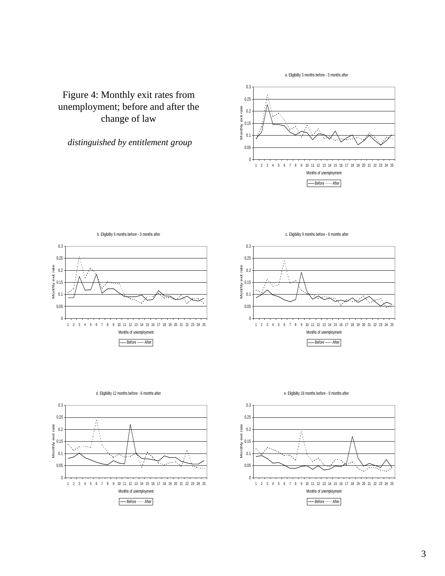a. Eligibility 3 months before - 3 months after

# Figure 4: Monthly exit rates from unemployment; before and after the change of law

### *distinguished by entitlement group*









e. Eligibility 18 months before - 9 months after



c. Eligibility 9 months before - 6 months after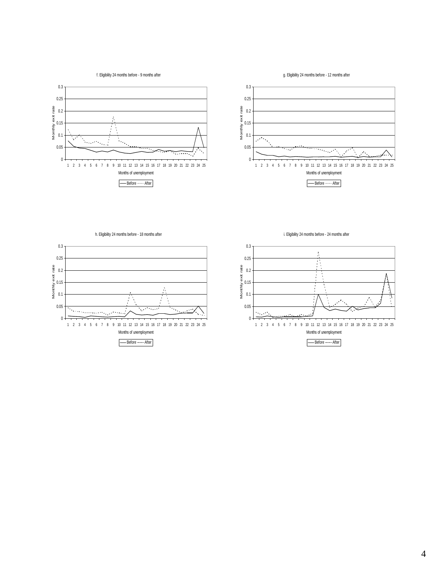f. Eligibility 24 months before - 9 months after

g. Eligibility 24 months before - 12 months after





0.3 0.25 Monthly exit rate 0.2 0.15 A 0.1 Ť À Ã 0.05  $\sim$ <u> Terministorial India</u> ų.  $0<sup>1</sup>$ 1 2 3 4 5 6 7 8 9 10 11 12 13 14 15 16 17 18 19 20 21 22 23 24 25 Months of unemployment - Before After

h. Eligibility 24 months before - 18 months after

i. Eligibility 24 months before - 24 months after

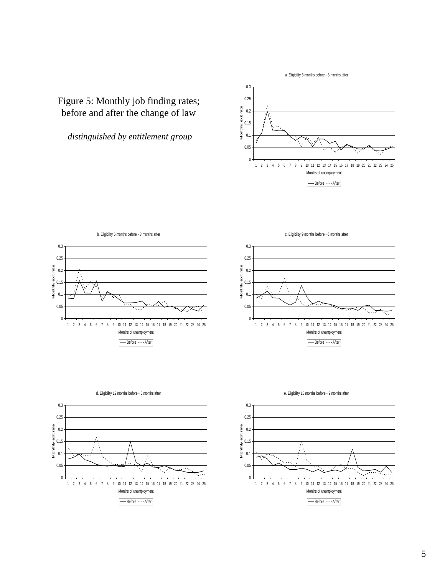a. Eligibility 3 months before - 3 months after

# Figure 5: Monthly job finding rates; before and after the change of law

*distinguished by entitlement group*





c. Eligibility 9 months before - 6 months after

0.3





e. Eligibility 18 months before - 9 months after

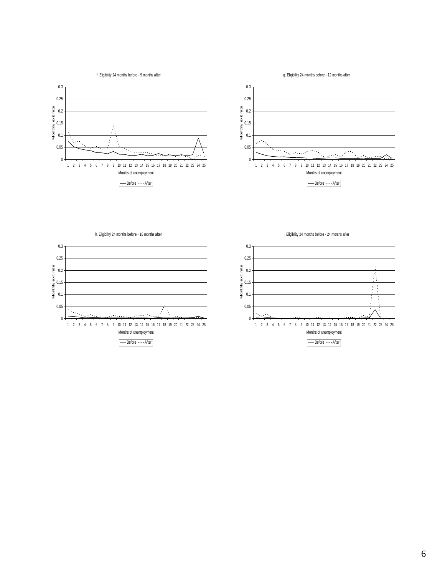f. Eligibility 24 months before - 9 months after

g. Eligibility 24 months before - 12 months after





h. Eligibility 24 months before - 18 months after



i. Eligibility 24 months before - 24 months after